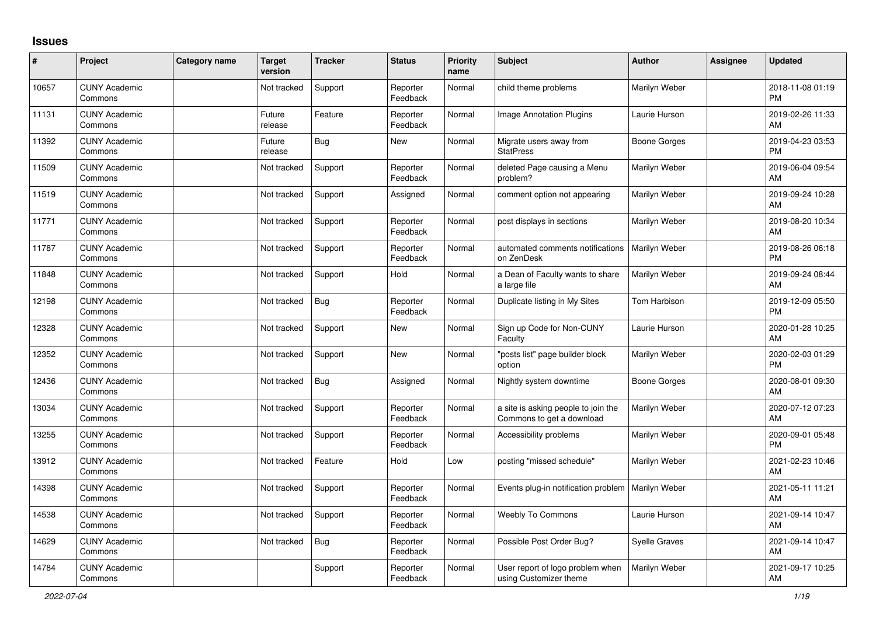## **Issues**

| #     | Project                         | Category name | Target<br>version | <b>Tracker</b> | <b>Status</b>        | <b>Priority</b><br>name | <b>Subject</b>                                                   | <b>Author</b>        | <b>Assignee</b> | <b>Updated</b>                |
|-------|---------------------------------|---------------|-------------------|----------------|----------------------|-------------------------|------------------------------------------------------------------|----------------------|-----------------|-------------------------------|
| 10657 | <b>CUNY Academic</b><br>Commons |               | Not tracked       | Support        | Reporter<br>Feedback | Normal                  | child theme problems                                             | Marilyn Weber        |                 | 2018-11-08 01:19<br><b>PM</b> |
| 11131 | <b>CUNY Academic</b><br>Commons |               | Future<br>release | Feature        | Reporter<br>Feedback | Normal                  | Image Annotation Plugins                                         | Laurie Hurson        |                 | 2019-02-26 11:33<br>AM        |
| 11392 | <b>CUNY Academic</b><br>Commons |               | Future<br>release | <b>Bug</b>     | New                  | Normal                  | Migrate users away from<br><b>StatPress</b>                      | Boone Gorges         |                 | 2019-04-23 03:53<br><b>PM</b> |
| 11509 | <b>CUNY Academic</b><br>Commons |               | Not tracked       | Support        | Reporter<br>Feedback | Normal                  | deleted Page causing a Menu<br>problem?                          | Marilyn Weber        |                 | 2019-06-04 09:54<br>AM        |
| 11519 | <b>CUNY Academic</b><br>Commons |               | Not tracked       | Support        | Assigned             | Normal                  | comment option not appearing                                     | Marilyn Weber        |                 | 2019-09-24 10:28<br>AM        |
| 11771 | <b>CUNY Academic</b><br>Commons |               | Not tracked       | Support        | Reporter<br>Feedback | Normal                  | post displays in sections                                        | Marilyn Weber        |                 | 2019-08-20 10:34<br>AM        |
| 11787 | <b>CUNY Academic</b><br>Commons |               | Not tracked       | Support        | Reporter<br>Feedback | Normal                  | automated comments notifications<br>on ZenDesk                   | Marilyn Weber        |                 | 2019-08-26 06:18<br><b>PM</b> |
| 11848 | <b>CUNY Academic</b><br>Commons |               | Not tracked       | Support        | Hold                 | Normal                  | a Dean of Faculty wants to share<br>a large file                 | Marilyn Weber        |                 | 2019-09-24 08:44<br>AM        |
| 12198 | <b>CUNY Academic</b><br>Commons |               | Not tracked       | Bug            | Reporter<br>Feedback | Normal                  | Duplicate listing in My Sites                                    | Tom Harbison         |                 | 2019-12-09 05:50<br><b>PM</b> |
| 12328 | <b>CUNY Academic</b><br>Commons |               | Not tracked       | Support        | <b>New</b>           | Normal                  | Sign up Code for Non-CUNY<br>Faculty                             | Laurie Hurson        |                 | 2020-01-28 10:25<br>AM        |
| 12352 | <b>CUNY Academic</b><br>Commons |               | Not tracked       | Support        | <b>New</b>           | Normal                  | 'posts list" page builder block<br>option                        | Marilyn Weber        |                 | 2020-02-03 01:29<br><b>PM</b> |
| 12436 | <b>CUNY Academic</b><br>Commons |               | Not tracked       | <b>Bug</b>     | Assigned             | Normal                  | Nightly system downtime                                          | Boone Gorges         |                 | 2020-08-01 09:30<br>AM        |
| 13034 | <b>CUNY Academic</b><br>Commons |               | Not tracked       | Support        | Reporter<br>Feedback | Normal                  | a site is asking people to join the<br>Commons to get a download | Marilyn Weber        |                 | 2020-07-12 07:23<br>AM        |
| 13255 | <b>CUNY Academic</b><br>Commons |               | Not tracked       | Support        | Reporter<br>Feedback | Normal                  | Accessibility problems                                           | Marilyn Weber        |                 | 2020-09-01 05:48<br><b>PM</b> |
| 13912 | <b>CUNY Academic</b><br>Commons |               | Not tracked       | Feature        | Hold                 | Low                     | posting "missed schedule"                                        | Marilyn Weber        |                 | 2021-02-23 10:46<br>AM        |
| 14398 | <b>CUNY Academic</b><br>Commons |               | Not tracked       | Support        | Reporter<br>Feedback | Normal                  | Events plug-in notification problem                              | Marilyn Weber        |                 | 2021-05-11 11:21<br>AM        |
| 14538 | <b>CUNY Academic</b><br>Commons |               | Not tracked       | Support        | Reporter<br>Feedback | Normal                  | <b>Weebly To Commons</b>                                         | Laurie Hurson        |                 | 2021-09-14 10:47<br>AM        |
| 14629 | <b>CUNY Academic</b><br>Commons |               | Not tracked       | Bug            | Reporter<br>Feedback | Normal                  | Possible Post Order Bug?                                         | <b>Syelle Graves</b> |                 | 2021-09-14 10:47<br>AM        |
| 14784 | <b>CUNY Academic</b><br>Commons |               |                   | Support        | Reporter<br>Feedback | Normal                  | User report of logo problem when<br>using Customizer theme       | Marilyn Weber        |                 | 2021-09-17 10:25<br>AM        |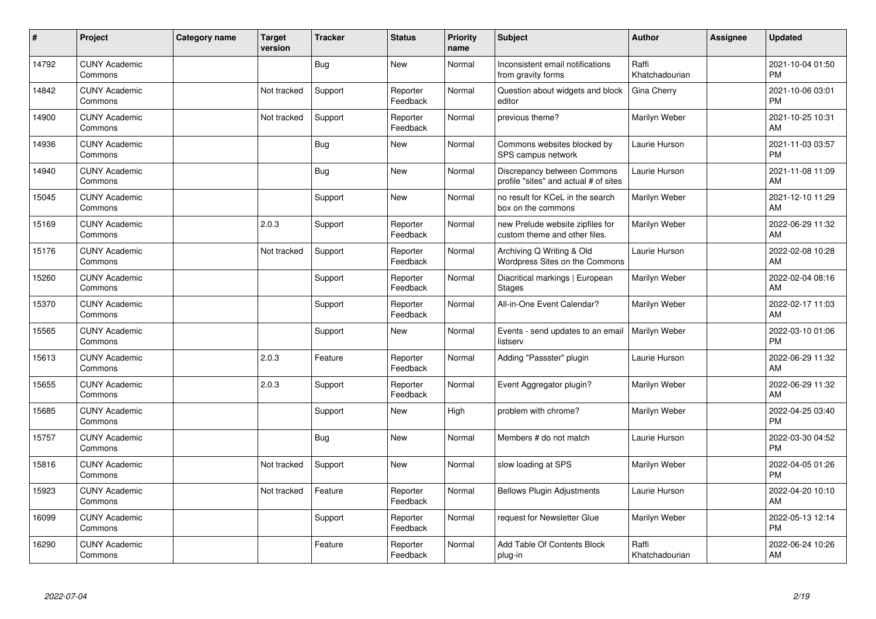| ∦     | Project                         | <b>Category name</b> | <b>Target</b><br>version | <b>Tracker</b> | <b>Status</b>        | <b>Priority</b><br>name | <b>Subject</b>                                                       | <b>Author</b>           | <b>Assignee</b> | <b>Updated</b>                |
|-------|---------------------------------|----------------------|--------------------------|----------------|----------------------|-------------------------|----------------------------------------------------------------------|-------------------------|-----------------|-------------------------------|
| 14792 | <b>CUNY Academic</b><br>Commons |                      |                          | <b>Bug</b>     | <b>New</b>           | Normal                  | Inconsistent email notifications<br>from gravity forms               | Raffi<br>Khatchadourian |                 | 2021-10-04 01:50<br><b>PM</b> |
| 14842 | <b>CUNY Academic</b><br>Commons |                      | Not tracked              | Support        | Reporter<br>Feedback | Normal                  | Question about widgets and block<br>editor                           | Gina Cherry             |                 | 2021-10-06 03:01<br><b>PM</b> |
| 14900 | <b>CUNY Academic</b><br>Commons |                      | Not tracked              | Support        | Reporter<br>Feedback | Normal                  | previous theme?                                                      | Marilyn Weber           |                 | 2021-10-25 10:31<br>AM        |
| 14936 | <b>CUNY Academic</b><br>Commons |                      |                          | <b>Bug</b>     | <b>New</b>           | Normal                  | Commons websites blocked by<br>SPS campus network                    | Laurie Hurson           |                 | 2021-11-03 03:57<br><b>PM</b> |
| 14940 | <b>CUNY Academic</b><br>Commons |                      |                          | <b>Bug</b>     | <b>New</b>           | Normal                  | Discrepancy between Commons<br>profile "sites" and actual # of sites | Laurie Hurson           |                 | 2021-11-08 11:09<br>AM        |
| 15045 | <b>CUNY Academic</b><br>Commons |                      |                          | Support        | <b>New</b>           | Normal                  | no result for KCeL in the search<br>box on the commons               | Marilyn Weber           |                 | 2021-12-10 11:29<br><b>AM</b> |
| 15169 | <b>CUNY Academic</b><br>Commons |                      | 2.0.3                    | Support        | Reporter<br>Feedback | Normal                  | new Prelude website zipfiles for<br>custom theme and other files.    | Marilyn Weber           |                 | 2022-06-29 11:32<br>AM        |
| 15176 | <b>CUNY Academic</b><br>Commons |                      | Not tracked              | Support        | Reporter<br>Feedback | Normal                  | Archiving Q Writing & Old<br>Wordpress Sites on the Commons          | Laurie Hurson           |                 | 2022-02-08 10:28<br>AM        |
| 15260 | <b>CUNY Academic</b><br>Commons |                      |                          | Support        | Reporter<br>Feedback | Normal                  | Diacritical markings   European<br><b>Stages</b>                     | Marilyn Weber           |                 | 2022-02-04 08:16<br>AM        |
| 15370 | <b>CUNY Academic</b><br>Commons |                      |                          | Support        | Reporter<br>Feedback | Normal                  | All-in-One Event Calendar?                                           | Marilyn Weber           |                 | 2022-02-17 11:03<br>AM        |
| 15565 | <b>CUNY Academic</b><br>Commons |                      |                          | Support        | <b>New</b>           | Normal                  | Events - send updates to an email<br>listserv                        | Marilyn Weber           |                 | 2022-03-10 01:06<br><b>PM</b> |
| 15613 | <b>CUNY Academic</b><br>Commons |                      | 2.0.3                    | Feature        | Reporter<br>Feedback | Normal                  | Adding "Passster" plugin                                             | Laurie Hurson           |                 | 2022-06-29 11:32<br>AM        |
| 15655 | <b>CUNY Academic</b><br>Commons |                      | 2.0.3                    | Support        | Reporter<br>Feedback | Normal                  | Event Aggregator plugin?                                             | Marilyn Weber           |                 | 2022-06-29 11:32<br><b>AM</b> |
| 15685 | <b>CUNY Academic</b><br>Commons |                      |                          | Support        | <b>New</b>           | High                    | problem with chrome?                                                 | Marilyn Weber           |                 | 2022-04-25 03:40<br><b>PM</b> |
| 15757 | <b>CUNY Academic</b><br>Commons |                      |                          | Bug            | <b>New</b>           | Normal                  | Members # do not match                                               | Laurie Hurson           |                 | 2022-03-30 04:52<br><b>PM</b> |
| 15816 | <b>CUNY Academic</b><br>Commons |                      | Not tracked              | Support        | New                  | Normal                  | slow loading at SPS                                                  | Marilyn Weber           |                 | 2022-04-05 01:26<br><b>PM</b> |
| 15923 | <b>CUNY Academic</b><br>Commons |                      | Not tracked              | Feature        | Reporter<br>Feedback | Normal                  | <b>Bellows Plugin Adjustments</b>                                    | Laurie Hurson           |                 | 2022-04-20 10:10<br>AM        |
| 16099 | <b>CUNY Academic</b><br>Commons |                      |                          | Support        | Reporter<br>Feedback | Normal                  | request for Newsletter Glue                                          | Marilyn Weber           |                 | 2022-05-13 12:14<br><b>PM</b> |
| 16290 | <b>CUNY Academic</b><br>Commons |                      |                          | Feature        | Reporter<br>Feedback | Normal                  | Add Table Of Contents Block<br>plug-in                               | Raffi<br>Khatchadourian |                 | 2022-06-24 10:26<br>AM        |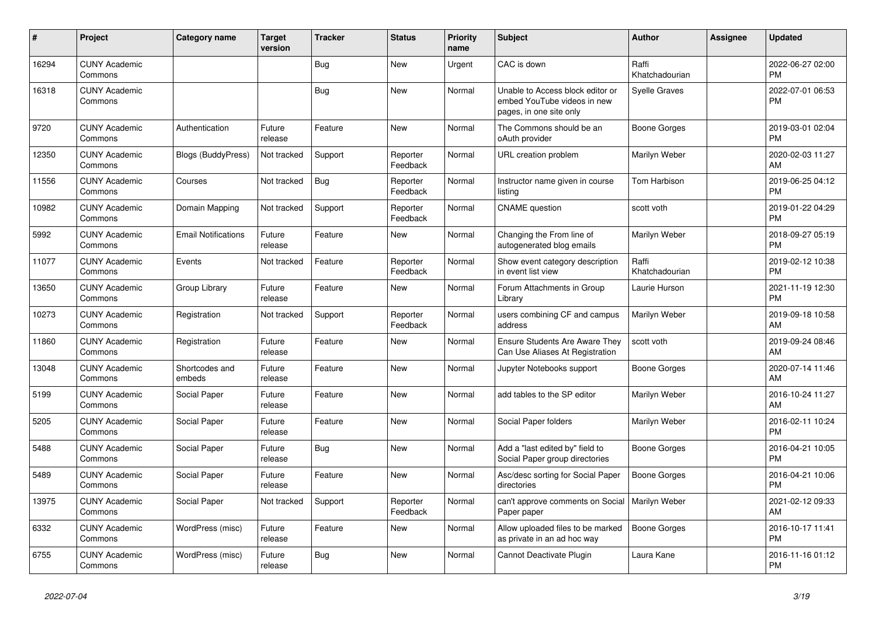| #     | Project                         | <b>Category name</b>       | <b>Target</b><br>version | <b>Tracker</b> | <b>Status</b>        | <b>Priority</b><br>name | <b>Subject</b>                                                                             | <b>Author</b>           | <b>Assignee</b> | <b>Updated</b>                |
|-------|---------------------------------|----------------------------|--------------------------|----------------|----------------------|-------------------------|--------------------------------------------------------------------------------------------|-------------------------|-----------------|-------------------------------|
| 16294 | <b>CUNY Academic</b><br>Commons |                            |                          | <b>Bug</b>     | New                  | Urgent                  | CAC is down                                                                                | Raffi<br>Khatchadourian |                 | 2022-06-27 02:00<br><b>PM</b> |
| 16318 | <b>CUNY Academic</b><br>Commons |                            |                          | Bug            | <b>New</b>           | Normal                  | Unable to Access block editor or<br>embed YouTube videos in new<br>pages, in one site only | Syelle Graves           |                 | 2022-07-01 06:53<br><b>PM</b> |
| 9720  | <b>CUNY Academic</b><br>Commons | Authentication             | Future<br>release        | Feature        | <b>New</b>           | Normal                  | The Commons should be an<br>oAuth provider                                                 | <b>Boone Gorges</b>     |                 | 2019-03-01 02:04<br><b>PM</b> |
| 12350 | <b>CUNY Academic</b><br>Commons | <b>Blogs (BuddyPress)</b>  | Not tracked              | Support        | Reporter<br>Feedback | Normal                  | URL creation problem                                                                       | Marilyn Weber           |                 | 2020-02-03 11:27<br>AM        |
| 11556 | <b>CUNY Academic</b><br>Commons | Courses                    | Not tracked              | Bug            | Reporter<br>Feedback | Normal                  | Instructor name given in course<br>listing                                                 | Tom Harbison            |                 | 2019-06-25 04:12<br><b>PM</b> |
| 10982 | <b>CUNY Academic</b><br>Commons | Domain Mapping             | Not tracked              | Support        | Reporter<br>Feedback | Normal                  | <b>CNAME</b> question                                                                      | scott voth              |                 | 2019-01-22 04:29<br><b>PM</b> |
| 5992  | <b>CUNY Academic</b><br>Commons | <b>Email Notifications</b> | Future<br>release        | Feature        | <b>New</b>           | Normal                  | Changing the From line of<br>autogenerated blog emails                                     | Marilyn Weber           |                 | 2018-09-27 05:19<br><b>PM</b> |
| 11077 | <b>CUNY Academic</b><br>Commons | Events                     | Not tracked              | Feature        | Reporter<br>Feedback | Normal                  | Show event category description<br>in event list view                                      | Raffi<br>Khatchadourian |                 | 2019-02-12 10:38<br><b>PM</b> |
| 13650 | <b>CUNY Academic</b><br>Commons | Group Library              | Future<br>release        | Feature        | New                  | Normal                  | Forum Attachments in Group<br>Library                                                      | Laurie Hurson           |                 | 2021-11-19 12:30<br><b>PM</b> |
| 10273 | <b>CUNY Academic</b><br>Commons | Registration               | Not tracked              | Support        | Reporter<br>Feedback | Normal                  | users combining CF and campus<br>address                                                   | Marilyn Weber           |                 | 2019-09-18 10:58<br>AM        |
| 11860 | <b>CUNY Academic</b><br>Commons | Registration               | Future<br>release        | Feature        | New                  | Normal                  | Ensure Students Are Aware They<br>Can Use Aliases At Registration                          | scott voth              |                 | 2019-09-24 08:46<br>AM        |
| 13048 | <b>CUNY Academic</b><br>Commons | Shortcodes and<br>embeds   | Future<br>release        | Feature        | <b>New</b>           | Normal                  | Jupyter Notebooks support                                                                  | Boone Gorges            |                 | 2020-07-14 11:46<br>AM        |
| 5199  | <b>CUNY Academic</b><br>Commons | Social Paper               | Future<br>release        | Feature        | <b>New</b>           | Normal                  | add tables to the SP editor                                                                | Marilyn Weber           |                 | 2016-10-24 11:27<br>AM        |
| 5205  | <b>CUNY Academic</b><br>Commons | Social Paper               | Future<br>release        | Feature        | New                  | Normal                  | Social Paper folders                                                                       | Marilyn Weber           |                 | 2016-02-11 10:24<br><b>PM</b> |
| 5488  | <b>CUNY Academic</b><br>Commons | Social Paper               | Future<br>release        | Bug            | New                  | Normal                  | Add a "last edited by" field to<br>Social Paper group directories                          | Boone Gorges            |                 | 2016-04-21 10:05<br><b>PM</b> |
| 5489  | <b>CUNY Academic</b><br>Commons | Social Paper               | Future<br>release        | Feature        | New                  | Normal                  | Asc/desc sorting for Social Paper<br>directories                                           | Boone Gorges            |                 | 2016-04-21 10:06<br><b>PM</b> |
| 13975 | <b>CUNY Academic</b><br>Commons | Social Paper               | Not tracked              | Support        | Reporter<br>Feedback | Normal                  | can't approve comments on Social<br>Paper paper                                            | Marilyn Weber           |                 | 2021-02-12 09:33<br>AM        |
| 6332  | <b>CUNY Academic</b><br>Commons | WordPress (misc)           | Future<br>release        | Feature        | New                  | Normal                  | Allow uploaded files to be marked<br>as private in an ad hoc way                           | <b>Boone Gorges</b>     |                 | 2016-10-17 11:41<br><b>PM</b> |
| 6755  | <b>CUNY Academic</b><br>Commons | WordPress (misc)           | Future<br>release        | Bug            | <b>New</b>           | Normal                  | Cannot Deactivate Plugin                                                                   | Laura Kane              |                 | 2016-11-16 01:12<br><b>PM</b> |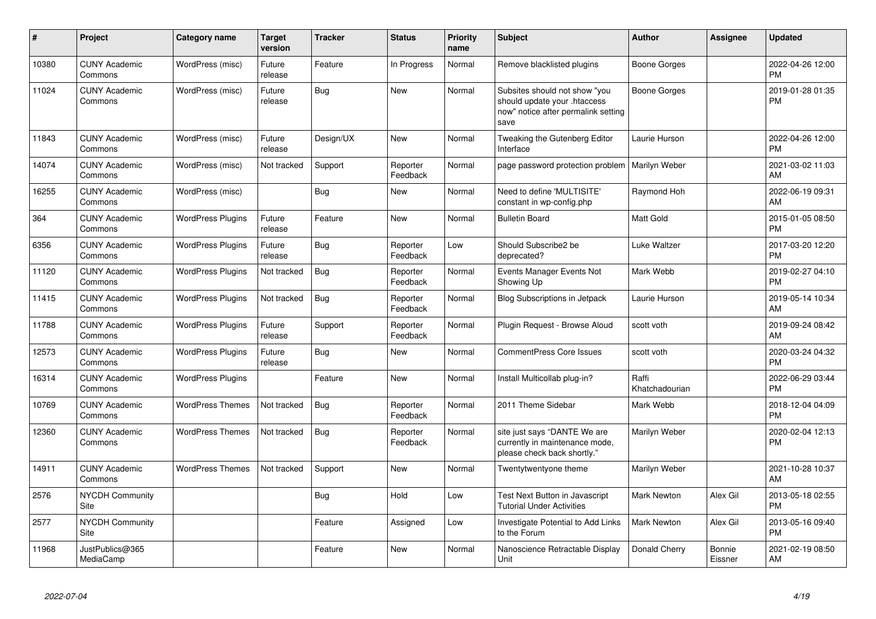| #     | <b>Project</b>                  | <b>Category name</b>     | <b>Target</b><br>version | <b>Tracker</b> | <b>Status</b>        | <b>Priority</b><br>name | <b>Subject</b>                                                                                               | <b>Author</b>           | Assignee          | <b>Updated</b>                |
|-------|---------------------------------|--------------------------|--------------------------|----------------|----------------------|-------------------------|--------------------------------------------------------------------------------------------------------------|-------------------------|-------------------|-------------------------------|
| 10380 | <b>CUNY Academic</b><br>Commons | WordPress (misc)         | Future<br>release        | Feature        | In Progress          | Normal                  | Remove blacklisted plugins                                                                                   | <b>Boone Gorges</b>     |                   | 2022-04-26 12:00<br><b>PM</b> |
| 11024 | <b>CUNY Academic</b><br>Commons | WordPress (misc)         | Future<br>release        | Bug            | <b>New</b>           | Normal                  | Subsites should not show "you<br>should update your .htaccess<br>now" notice after permalink setting<br>save | Boone Gorges            |                   | 2019-01-28 01:35<br>PM        |
| 11843 | <b>CUNY Academic</b><br>Commons | WordPress (misc)         | Future<br>release        | Design/UX      | <b>New</b>           | Normal                  | Tweaking the Gutenberg Editor<br>Interface                                                                   | Laurie Hurson           |                   | 2022-04-26 12:00<br><b>PM</b> |
| 14074 | <b>CUNY Academic</b><br>Commons | WordPress (misc)         | Not tracked              | Support        | Reporter<br>Feedback | Normal                  | page password protection problem                                                                             | <b>Marilyn Weber</b>    |                   | 2021-03-02 11:03<br>AM        |
| 16255 | <b>CUNY Academic</b><br>Commons | WordPress (misc)         |                          | Bug            | <b>New</b>           | Normal                  | Need to define 'MULTISITE'<br>constant in wp-config.php                                                      | Raymond Hoh             |                   | 2022-06-19 09:31<br>AM        |
| 364   | <b>CUNY Academic</b><br>Commons | <b>WordPress Plugins</b> | Future<br>release        | Feature        | New                  | Normal                  | <b>Bulletin Board</b>                                                                                        | Matt Gold               |                   | 2015-01-05 08:50<br><b>PM</b> |
| 6356  | <b>CUNY Academic</b><br>Commons | <b>WordPress Plugins</b> | Future<br>release        | Bug            | Reporter<br>Feedback | Low                     | Should Subscribe2 be<br>deprecated?                                                                          | Luke Waltzer            |                   | 2017-03-20 12:20<br><b>PM</b> |
| 11120 | <b>CUNY Academic</b><br>Commons | <b>WordPress Plugins</b> | Not tracked              | Bug            | Reporter<br>Feedback | Normal                  | Events Manager Events Not<br>Showing Up                                                                      | Mark Webb               |                   | 2019-02-27 04:10<br><b>PM</b> |
| 11415 | <b>CUNY Academic</b><br>Commons | <b>WordPress Plugins</b> | Not tracked              | Bug            | Reporter<br>Feedback | Normal                  | Blog Subscriptions in Jetpack                                                                                | Laurie Hurson           |                   | 2019-05-14 10:34<br>AM        |
| 11788 | <b>CUNY Academic</b><br>Commons | <b>WordPress Plugins</b> | Future<br>release        | Support        | Reporter<br>Feedback | Normal                  | Plugin Request - Browse Aloud                                                                                | scott voth              |                   | 2019-09-24 08:42<br><b>AM</b> |
| 12573 | <b>CUNY Academic</b><br>Commons | <b>WordPress Plugins</b> | Future<br>release        | <b>Bug</b>     | New                  | Normal                  | <b>CommentPress Core Issues</b>                                                                              | scott voth              |                   | 2020-03-24 04:32<br><b>PM</b> |
| 16314 | <b>CUNY Academic</b><br>Commons | <b>WordPress Plugins</b> |                          | Feature        | New                  | Normal                  | Install Multicollab plug-in?                                                                                 | Raffi<br>Khatchadourian |                   | 2022-06-29 03:44<br><b>PM</b> |
| 10769 | <b>CUNY Academic</b><br>Commons | <b>WordPress Themes</b>  | Not tracked              | Bug            | Reporter<br>Feedback | Normal                  | 2011 Theme Sidebar                                                                                           | Mark Webb               |                   | 2018-12-04 04:09<br><b>PM</b> |
| 12360 | <b>CUNY Academic</b><br>Commons | <b>WordPress Themes</b>  | Not tracked              | Bug            | Reporter<br>Feedback | Normal                  | site just says "DANTE We are<br>currently in maintenance mode,<br>please check back shortly."                | Marilyn Weber           |                   | 2020-02-04 12:13<br><b>PM</b> |
| 14911 | <b>CUNY Academic</b><br>Commons | <b>WordPress Themes</b>  | Not tracked              | Support        | <b>New</b>           | Normal                  | Twentytwentyone theme                                                                                        | Marilyn Weber           |                   | 2021-10-28 10:37<br>AM        |
| 2576  | <b>NYCDH Community</b><br>Site  |                          |                          | Bug            | Hold                 | Low                     | <b>Test Next Button in Javascript</b><br><b>Tutorial Under Activities</b>                                    | <b>Mark Newton</b>      | Alex Gil          | 2013-05-18 02:55<br><b>PM</b> |
| 2577  | <b>NYCDH Community</b><br>Site  |                          |                          | Feature        | Assigned             | Low                     | Investigate Potential to Add Links<br>to the Forum                                                           | Mark Newton             | Alex Gil          | 2013-05-16 09:40<br>PM        |
| 11968 | JustPublics@365<br>MediaCamp    |                          |                          | Feature        | New                  | Normal                  | Nanoscience Retractable Display<br>Unit                                                                      | Donald Cherry           | Bonnie<br>Eissner | 2021-02-19 08:50<br>AM        |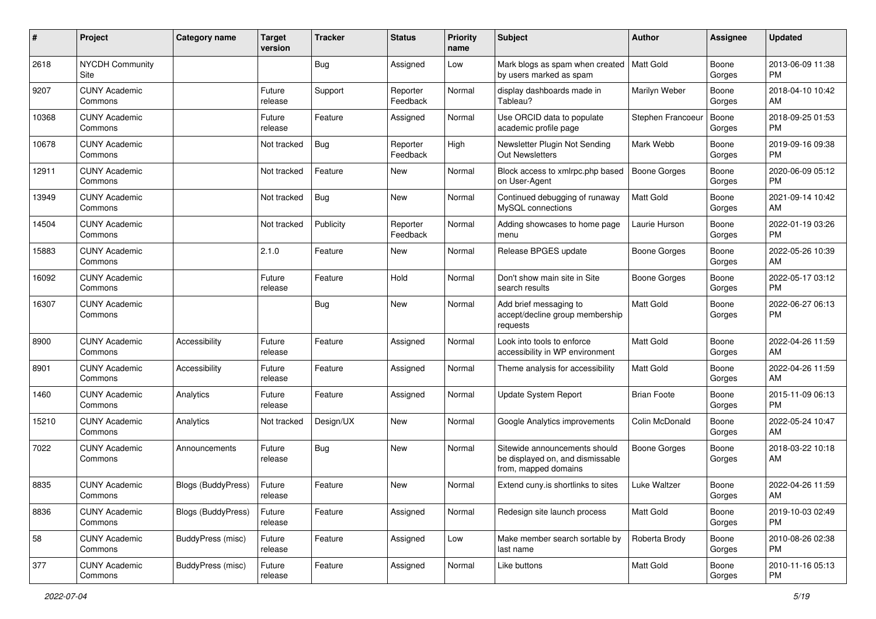| #     | Project                         | Category name             | <b>Target</b><br>version | Tracker    | <b>Status</b>        | <b>Priority</b><br>name | <b>Subject</b>                                                                            | Author              | <b>Assignee</b> | <b>Updated</b>                |
|-------|---------------------------------|---------------------------|--------------------------|------------|----------------------|-------------------------|-------------------------------------------------------------------------------------------|---------------------|-----------------|-------------------------------|
| 2618  | <b>NYCDH Community</b><br>Site  |                           |                          | <b>Bug</b> | Assigned             | Low                     | Mark blogs as spam when created<br>by users marked as spam                                | <b>Matt Gold</b>    | Boone<br>Gorges | 2013-06-09 11:38<br><b>PM</b> |
| 9207  | <b>CUNY Academic</b><br>Commons |                           | Future<br>release        | Support    | Reporter<br>Feedback | Normal                  | display dashboards made in<br>Tableau?                                                    | Marilyn Weber       | Boone<br>Gorges | 2018-04-10 10:42<br>AM        |
| 10368 | <b>CUNY Academic</b><br>Commons |                           | Future<br>release        | Feature    | Assigned             | Normal                  | Use ORCID data to populate<br>academic profile page                                       | Stephen Francoeur   | Boone<br>Gorges | 2018-09-25 01:53<br><b>PM</b> |
| 10678 | <b>CUNY Academic</b><br>Commons |                           | Not tracked              | Bug        | Reporter<br>Feedback | High                    | Newsletter Plugin Not Sending<br><b>Out Newsletters</b>                                   | Mark Webb           | Boone<br>Gorges | 2019-09-16 09:38<br><b>PM</b> |
| 12911 | <b>CUNY Academic</b><br>Commons |                           | Not tracked              | Feature    | New                  | Normal                  | Block access to xmlrpc.php based<br>on User-Agent                                         | Boone Gorges        | Boone<br>Gorges | 2020-06-09 05:12<br><b>PM</b> |
| 13949 | <b>CUNY Academic</b><br>Commons |                           | Not tracked              | Bug        | <b>New</b>           | Normal                  | Continued debugging of runaway<br>MySQL connections                                       | Matt Gold           | Boone<br>Gorges | 2021-09-14 10:42<br>AM        |
| 14504 | <b>CUNY Academic</b><br>Commons |                           | Not tracked              | Publicity  | Reporter<br>Feedback | Normal                  | Adding showcases to home page<br>menu                                                     | Laurie Hurson       | Boone<br>Gorges | 2022-01-19 03:26<br><b>PM</b> |
| 15883 | <b>CUNY Academic</b><br>Commons |                           | 2.1.0                    | Feature    | <b>New</b>           | Normal                  | Release BPGES update                                                                      | <b>Boone Gorges</b> | Boone<br>Gorges | 2022-05-26 10:39<br>AM        |
| 16092 | <b>CUNY Academic</b><br>Commons |                           | Future<br>release        | Feature    | Hold                 | Normal                  | Don't show main site in Site<br>search results                                            | Boone Gorges        | Boone<br>Gorges | 2022-05-17 03:12<br><b>PM</b> |
| 16307 | <b>CUNY Academic</b><br>Commons |                           |                          | <b>Bug</b> | <b>New</b>           | Normal                  | Add brief messaging to<br>accept/decline group membership<br>requests                     | <b>Matt Gold</b>    | Boone<br>Gorges | 2022-06-27 06:13<br><b>PM</b> |
| 8900  | <b>CUNY Academic</b><br>Commons | Accessibility             | Future<br>release        | Feature    | Assigned             | Normal                  | Look into tools to enforce<br>accessibility in WP environment                             | Matt Gold           | Boone<br>Gorges | 2022-04-26 11:59<br>AM        |
| 8901  | <b>CUNY Academic</b><br>Commons | Accessibility             | Future<br>release        | Feature    | Assigned             | Normal                  | Theme analysis for accessibility                                                          | <b>Matt Gold</b>    | Boone<br>Gorges | 2022-04-26 11:59<br>AM        |
| 1460  | <b>CUNY Academic</b><br>Commons | Analytics                 | Future<br>release        | Feature    | Assigned             | Normal                  | Update System Report                                                                      | <b>Brian Foote</b>  | Boone<br>Gorges | 2015-11-09 06:13<br><b>PM</b> |
| 15210 | <b>CUNY Academic</b><br>Commons | Analytics                 | Not tracked              | Design/UX  | New                  | Normal                  | Google Analytics improvements                                                             | Colin McDonald      | Boone<br>Gorges | 2022-05-24 10:47<br>AM        |
| 7022  | <b>CUNY Academic</b><br>Commons | Announcements             | Future<br>release        | <b>Bug</b> | <b>New</b>           | Normal                  | Sitewide announcements should<br>be displayed on, and dismissable<br>from, mapped domains | Boone Gorges        | Boone<br>Gorges | 2018-03-22 10:18<br>AM        |
| 8835  | <b>CUNY Academic</b><br>Commons | Blogs (BuddyPress)        | Future<br>release        | Feature    | <b>New</b>           | Normal                  | Extend cuny.is shortlinks to sites                                                        | Luke Waltzer        | Boone<br>Gorges | 2022-04-26 11:59<br>AM        |
| 8836  | <b>CUNY Academic</b><br>Commons | <b>Blogs (BuddyPress)</b> | Future<br>release        | Feature    | Assigned             | Normal                  | Redesign site launch process                                                              | Matt Gold           | Boone<br>Gorges | 2019-10-03 02:49<br><b>PM</b> |
| 58    | <b>CUNY Academic</b><br>Commons | BuddyPress (misc)         | Future<br>release        | Feature    | Assigned             | Low                     | Make member search sortable by<br>last name                                               | Roberta Brody       | Boone<br>Gorges | 2010-08-26 02:38<br><b>PM</b> |
| 377   | <b>CUNY Academic</b><br>Commons | BuddyPress (misc)         | Future<br>release        | Feature    | Assigned             | Normal                  | Like buttons                                                                              | Matt Gold           | Boone<br>Gorges | 2010-11-16 05:13<br>PM        |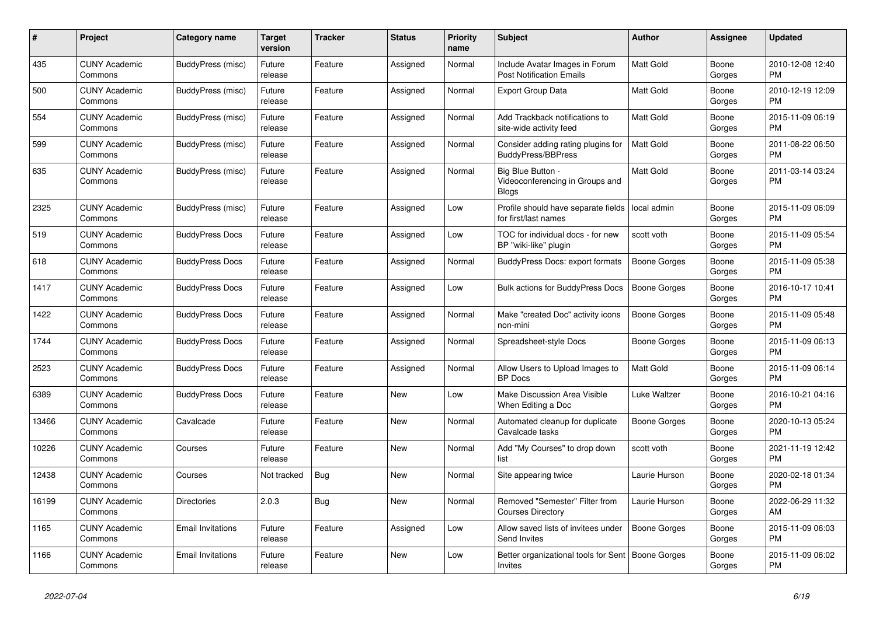| #     | <b>Project</b>                  | Category name            | <b>Target</b><br>version | <b>Tracker</b> | <b>Status</b> | <b>Priority</b><br>name | <b>Subject</b>                                                       | <b>Author</b>       | Assignee        | <b>Updated</b>                |
|-------|---------------------------------|--------------------------|--------------------------|----------------|---------------|-------------------------|----------------------------------------------------------------------|---------------------|-----------------|-------------------------------|
| 435   | <b>CUNY Academic</b><br>Commons | BuddyPress (misc)        | Future<br>release        | Feature        | Assigned      | Normal                  | Include Avatar Images in Forum<br><b>Post Notification Emails</b>    | <b>Matt Gold</b>    | Boone<br>Gorges | 2010-12-08 12:40<br><b>PM</b> |
| 500   | <b>CUNY Academic</b><br>Commons | BuddyPress (misc)        | Future<br>release        | Feature        | Assigned      | Normal                  | <b>Export Group Data</b>                                             | <b>Matt Gold</b>    | Boone<br>Gorges | 2010-12-19 12:09<br><b>PM</b> |
| 554   | <b>CUNY Academic</b><br>Commons | BuddyPress (misc)        | Future<br>release        | Feature        | Assigned      | Normal                  | Add Trackback notifications to<br>site-wide activity feed            | Matt Gold           | Boone<br>Gorges | 2015-11-09 06:19<br><b>PM</b> |
| 599   | <b>CUNY Academic</b><br>Commons | BuddyPress (misc)        | Future<br>release        | Feature        | Assigned      | Normal                  | Consider adding rating plugins for<br><b>BuddyPress/BBPress</b>      | <b>Matt Gold</b>    | Boone<br>Gorges | 2011-08-22 06:50<br><b>PM</b> |
| 635   | <b>CUNY Academic</b><br>Commons | BuddyPress (misc)        | Future<br>release        | Feature        | Assigned      | Normal                  | Big Blue Button -<br>Videoconferencing in Groups and<br><b>Blogs</b> | Matt Gold           | Boone<br>Gorges | 2011-03-14 03:24<br><b>PM</b> |
| 2325  | <b>CUNY Academic</b><br>Commons | BuddyPress (misc)        | Future<br>release        | Feature        | Assigned      | Low                     | Profile should have separate fields<br>for first/last names          | local admin         | Boone<br>Gorges | 2015-11-09 06:09<br><b>PM</b> |
| 519   | <b>CUNY Academic</b><br>Commons | <b>BuddyPress Docs</b>   | Future<br>release        | Feature        | Assigned      | Low                     | TOC for individual docs - for new<br>BP "wiki-like" plugin           | scott voth          | Boone<br>Gorges | 2015-11-09 05:54<br><b>PM</b> |
| 618   | <b>CUNY Academic</b><br>Commons | <b>BuddyPress Docs</b>   | Future<br>release        | Feature        | Assigned      | Normal                  | BuddyPress Docs: export formats                                      | Boone Gorges        | Boone<br>Gorges | 2015-11-09 05:38<br><b>PM</b> |
| 1417  | <b>CUNY Academic</b><br>Commons | <b>BuddyPress Docs</b>   | Future<br>release        | Feature        | Assigned      | Low                     | Bulk actions for BuddyPress Docs                                     | Boone Gorges        | Boone<br>Gorges | 2016-10-17 10:41<br>PM.       |
| 1422  | <b>CUNY Academic</b><br>Commons | <b>BuddyPress Docs</b>   | Future<br>release        | Feature        | Assigned      | Normal                  | Make "created Doc" activity icons<br>non-mini                        | Boone Gorges        | Boone<br>Gorges | 2015-11-09 05:48<br><b>PM</b> |
| 1744  | <b>CUNY Academic</b><br>Commons | <b>BuddyPress Docs</b>   | Future<br>release        | Feature        | Assigned      | Normal                  | Spreadsheet-style Docs                                               | Boone Gorges        | Boone<br>Gorges | 2015-11-09 06:13<br><b>PM</b> |
| 2523  | <b>CUNY Academic</b><br>Commons | <b>BuddyPress Docs</b>   | Future<br>release        | Feature        | Assigned      | Normal                  | Allow Users to Upload Images to<br><b>BP</b> Docs                    | <b>Matt Gold</b>    | Boone<br>Gorges | 2015-11-09 06:14<br><b>PM</b> |
| 6389  | <b>CUNY Academic</b><br>Commons | <b>BuddyPress Docs</b>   | Future<br>release        | Feature        | <b>New</b>    | Low                     | <b>Make Discussion Area Visible</b><br>When Editing a Doc            | Luke Waltzer        | Boone<br>Gorges | 2016-10-21 04:16<br><b>PM</b> |
| 13466 | <b>CUNY Academic</b><br>Commons | Cavalcade                | Future<br>release        | Feature        | New           | Normal                  | Automated cleanup for duplicate<br>Cavalcade tasks                   | Boone Gorges        | Boone<br>Gorges | 2020-10-13 05:24<br>PM        |
| 10226 | <b>CUNY Academic</b><br>Commons | Courses                  | Future<br>release        | Feature        | <b>New</b>    | Normal                  | Add "My Courses" to drop down<br>list                                | scott voth          | Boone<br>Gorges | 2021-11-19 12:42<br><b>PM</b> |
| 12438 | <b>CUNY Academic</b><br>Commons | Courses                  | Not tracked              | <b>Bug</b>     | <b>New</b>    | Normal                  | Site appearing twice                                                 | Laurie Hurson       | Boone<br>Gorges | 2020-02-18 01:34<br><b>PM</b> |
| 16199 | <b>CUNY Academic</b><br>Commons | <b>Directories</b>       | 2.0.3                    | Bug            | <b>New</b>    | Normal                  | Removed "Semester" Filter from<br><b>Courses Directory</b>           | Laurie Hurson       | Boone<br>Gorges | 2022-06-29 11:32<br>AM        |
| 1165  | <b>CUNY Academic</b><br>Commons | Email Invitations        | Future<br>release        | Feature        | Assigned      | Low                     | Allow saved lists of invitees under<br>Send Invites                  | Boone Gorges        | Boone<br>Gorges | 2015-11-09 06:03<br>PM.       |
| 1166  | <b>CUNY Academic</b><br>Commons | <b>Email Invitations</b> | Future<br>release        | Feature        | <b>New</b>    | Low                     | Better organizational tools for Sent<br>Invites                      | <b>Boone Gorges</b> | Boone<br>Gorges | 2015-11-09 06:02<br><b>PM</b> |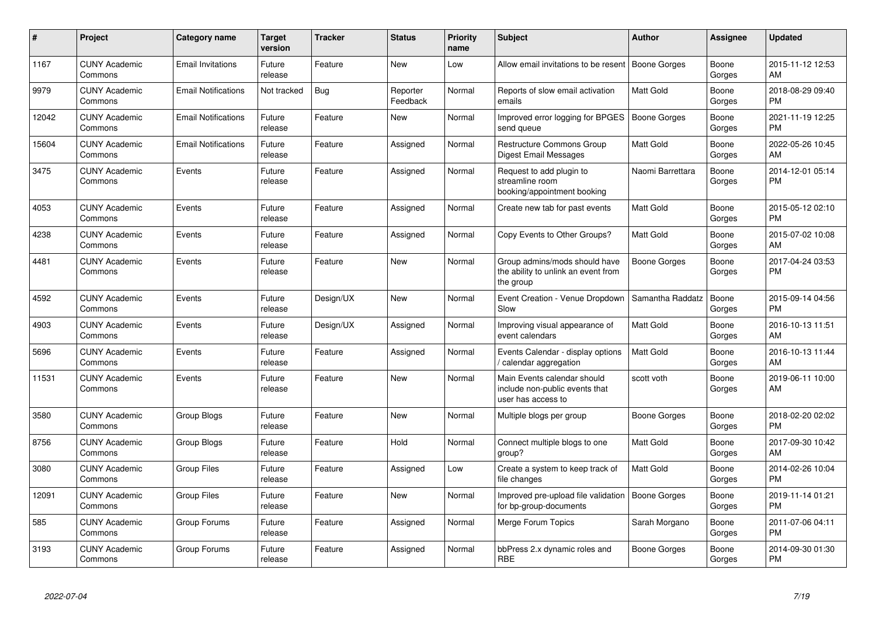| #     | Project                         | <b>Category name</b>       | <b>Target</b><br>version | <b>Tracker</b> | <b>Status</b>        | <b>Priority</b><br>name | <b>Subject</b>                                                                      | <b>Author</b>    | <b>Assignee</b> | <b>Updated</b>                |
|-------|---------------------------------|----------------------------|--------------------------|----------------|----------------------|-------------------------|-------------------------------------------------------------------------------------|------------------|-----------------|-------------------------------|
| 1167  | <b>CUNY Academic</b><br>Commons | <b>Email Invitations</b>   | Future<br>release        | Feature        | New                  | Low                     | Allow email invitations to be resent   Boone Gorges                                 |                  | Boone<br>Gorges | 2015-11-12 12:53<br>AM        |
| 9979  | <b>CUNY Academic</b><br>Commons | <b>Email Notifications</b> | Not tracked              | Bug            | Reporter<br>Feedback | Normal                  | Reports of slow email activation<br>emails                                          | <b>Matt Gold</b> | Boone<br>Gorges | 2018-08-29 09:40<br><b>PM</b> |
| 12042 | <b>CUNY Academic</b><br>Commons | <b>Email Notifications</b> | Future<br>release        | Feature        | New                  | Normal                  | Improved error logging for BPGES<br>send queue                                      | Boone Gorges     | Boone<br>Gorges | 2021-11-19 12:25<br><b>PM</b> |
| 15604 | <b>CUNY Academic</b><br>Commons | <b>Email Notifications</b> | Future<br>release        | Feature        | Assigned             | Normal                  | Restructure Commons Group<br>Digest Email Messages                                  | <b>Matt Gold</b> | Boone<br>Gorges | 2022-05-26 10:45<br>AM        |
| 3475  | <b>CUNY Academic</b><br>Commons | Events                     | Future<br>release        | Feature        | Assigned             | Normal                  | Request to add plugin to<br>streamline room<br>booking/appointment booking          | Naomi Barrettara | Boone<br>Gorges | 2014-12-01 05:14<br><b>PM</b> |
| 4053  | <b>CUNY Academic</b><br>Commons | Events                     | Future<br>release        | Feature        | Assigned             | Normal                  | Create new tab for past events                                                      | <b>Matt Gold</b> | Boone<br>Gorges | 2015-05-12 02:10<br><b>PM</b> |
| 4238  | <b>CUNY Academic</b><br>Commons | Events                     | Future<br>release        | Feature        | Assigned             | Normal                  | Copy Events to Other Groups?                                                        | <b>Matt Gold</b> | Boone<br>Gorges | 2015-07-02 10:08<br>AM        |
| 4481  | <b>CUNY Academic</b><br>Commons | Events                     | Future<br>release        | Feature        | New                  | Normal                  | Group admins/mods should have<br>the ability to unlink an event from<br>the group   | Boone Gorges     | Boone<br>Gorges | 2017-04-24 03:53<br><b>PM</b> |
| 4592  | <b>CUNY Academic</b><br>Commons | Events                     | Future<br>release        | Design/UX      | New                  | Normal                  | Event Creation - Venue Dropdown<br>Slow                                             | Samantha Raddatz | Boone<br>Gorges | 2015-09-14 04:56<br><b>PM</b> |
| 4903  | <b>CUNY Academic</b><br>Commons | Events                     | Future<br>release        | Design/UX      | Assigned             | Normal                  | Improving visual appearance of<br>event calendars                                   | <b>Matt Gold</b> | Boone<br>Gorges | 2016-10-13 11:51<br>AM        |
| 5696  | <b>CUNY Academic</b><br>Commons | Events                     | Future<br>release        | Feature        | Assigned             | Normal                  | Events Calendar - display options<br>/ calendar aggregation                         | <b>Matt Gold</b> | Boone<br>Gorges | 2016-10-13 11:44<br>AM        |
| 11531 | <b>CUNY Academic</b><br>Commons | Events                     | Future<br>release        | Feature        | <b>New</b>           | Normal                  | Main Events calendar should<br>include non-public events that<br>user has access to | scott voth       | Boone<br>Gorges | 2019-06-11 10:00<br>AM        |
| 3580  | <b>CUNY Academic</b><br>Commons | Group Blogs                | Future<br>release        | Feature        | New                  | Normal                  | Multiple blogs per group                                                            | Boone Gorges     | Boone<br>Gorges | 2018-02-20 02:02<br><b>PM</b> |
| 8756  | <b>CUNY Academic</b><br>Commons | Group Blogs                | Future<br>release        | Feature        | Hold                 | Normal                  | Connect multiple blogs to one<br>group?                                             | <b>Matt Gold</b> | Boone<br>Gorges | 2017-09-30 10:42<br>AM        |
| 3080  | <b>CUNY Academic</b><br>Commons | <b>Group Files</b>         | Future<br>release        | Feature        | Assigned             | Low                     | Create a system to keep track of<br>file changes                                    | <b>Matt Gold</b> | Boone<br>Gorges | 2014-02-26 10:04<br><b>PM</b> |
| 12091 | <b>CUNY Academic</b><br>Commons | <b>Group Files</b>         | Future<br>release        | Feature        | <b>New</b>           | Normal                  | Improved pre-upload file validation   Boone Gorges<br>for bp-group-documents        |                  | Boone<br>Gorges | 2019-11-14 01:21<br><b>PM</b> |
| 585   | <b>CUNY Academic</b><br>Commons | Group Forums               | Future<br>release        | Feature        | Assigned             | Normal                  | <b>Merge Forum Topics</b>                                                           | Sarah Morgano    | Boone<br>Gorges | 2011-07-06 04:11<br><b>PM</b> |
| 3193  | <b>CUNY Academic</b><br>Commons | Group Forums               | Future<br>release        | Feature        | Assigned             | Normal                  | bbPress 2.x dynamic roles and<br><b>RBE</b>                                         | Boone Gorges     | Boone<br>Gorges | 2014-09-30 01:30<br><b>PM</b> |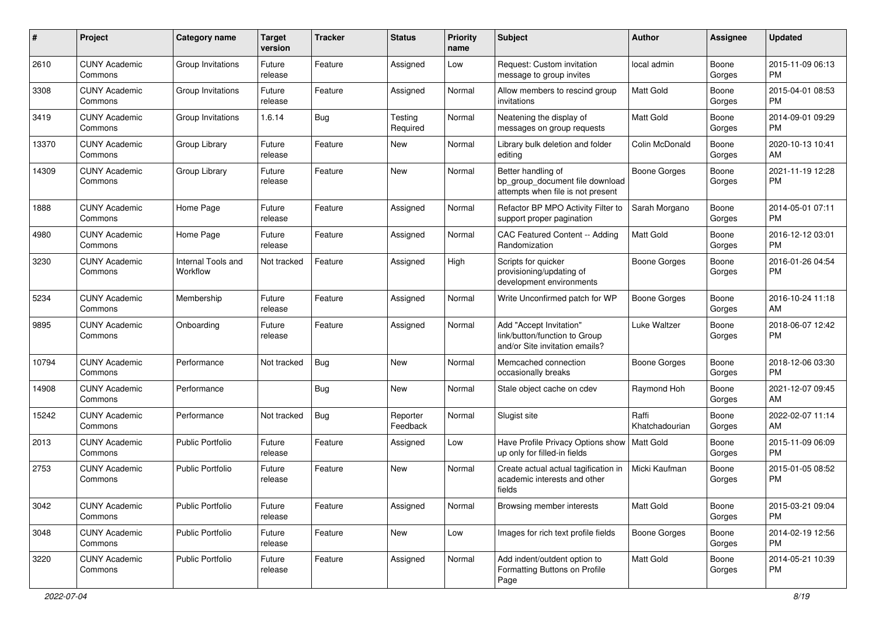| #     | Project                         | <b>Category name</b>           | <b>Target</b><br>version | <b>Tracker</b> | <b>Status</b>        | <b>Priority</b><br>name | <b>Subject</b>                                                                             | Author                  | <b>Assignee</b> | <b>Updated</b>                |
|-------|---------------------------------|--------------------------------|--------------------------|----------------|----------------------|-------------------------|--------------------------------------------------------------------------------------------|-------------------------|-----------------|-------------------------------|
| 2610  | <b>CUNY Academic</b><br>Commons | Group Invitations              | Future<br>release        | Feature        | Assigned             | Low                     | Request: Custom invitation<br>message to group invites                                     | local admin             | Boone<br>Gorges | 2015-11-09 06:13<br>PM.       |
| 3308  | <b>CUNY Academic</b><br>Commons | Group Invitations              | Future<br>release        | Feature        | Assigned             | Normal                  | Allow members to rescind group<br>invitations                                              | Matt Gold               | Boone<br>Gorges | 2015-04-01 08:53<br><b>PM</b> |
| 3419  | <b>CUNY Academic</b><br>Commons | Group Invitations              | 1.6.14                   | Bug            | Testing<br>Required  | Normal                  | Neatening the display of<br>messages on group requests                                     | Matt Gold               | Boone<br>Gorges | 2014-09-01 09:29<br><b>PM</b> |
| 13370 | <b>CUNY Academic</b><br>Commons | Group Library                  | Future<br>release        | Feature        | New                  | Normal                  | Library bulk deletion and folder<br>editing                                                | Colin McDonald          | Boone<br>Gorges | 2020-10-13 10:41<br>AM        |
| 14309 | <b>CUNY Academic</b><br>Commons | Group Library                  | Future<br>release        | Feature        | <b>New</b>           | Normal                  | Better handling of<br>bp_group_document file download<br>attempts when file is not present | Boone Gorges            | Boone<br>Gorges | 2021-11-19 12:28<br><b>PM</b> |
| 1888  | <b>CUNY Academic</b><br>Commons | Home Page                      | Future<br>release        | Feature        | Assigned             | Normal                  | Refactor BP MPO Activity Filter to<br>support proper pagination                            | Sarah Morgano           | Boone<br>Gorges | 2014-05-01 07:11<br><b>PM</b> |
| 4980  | <b>CUNY Academic</b><br>Commons | Home Page                      | Future<br>release        | Feature        | Assigned             | Normal                  | CAC Featured Content -- Adding<br>Randomization                                            | Matt Gold               | Boone<br>Gorges | 2016-12-12 03:01<br><b>PM</b> |
| 3230  | <b>CUNY Academic</b><br>Commons | Internal Tools and<br>Workflow | Not tracked              | Feature        | Assigned             | High                    | Scripts for quicker<br>provisioning/updating of<br>development environments                | <b>Boone Gorges</b>     | Boone<br>Gorges | 2016-01-26 04:54<br><b>PM</b> |
| 5234  | <b>CUNY Academic</b><br>Commons | Membership                     | Future<br>release        | Feature        | Assigned             | Normal                  | Write Unconfirmed patch for WP                                                             | Boone Gorges            | Boone<br>Gorges | 2016-10-24 11:18<br>AM        |
| 9895  | <b>CUNY Academic</b><br>Commons | Onboarding                     | Future<br>release        | Feature        | Assigned             | Normal                  | Add "Accept Invitation"<br>link/button/function to Group<br>and/or Site invitation emails? | Luke Waltzer            | Boone<br>Gorges | 2018-06-07 12:42<br>PM.       |
| 10794 | <b>CUNY Academic</b><br>Commons | Performance                    | Not tracked              | Bug            | New                  | Normal                  | Memcached connection<br>occasionally breaks                                                | <b>Boone Gorges</b>     | Boone<br>Gorges | 2018-12-06 03:30<br>PM.       |
| 14908 | <b>CUNY Academic</b><br>Commons | Performance                    |                          | Bug            | <b>New</b>           | Normal                  | Stale object cache on cdev                                                                 | Raymond Hoh             | Boone<br>Gorges | 2021-12-07 09:45<br>AM        |
| 15242 | <b>CUNY Academic</b><br>Commons | Performance                    | Not tracked              | Bug            | Reporter<br>Feedback | Normal                  | Slugist site                                                                               | Raffi<br>Khatchadourian | Boone<br>Gorges | 2022-02-07 11:14<br>AM        |
| 2013  | <b>CUNY Academic</b><br>Commons | Public Portfolio               | Future<br>release        | Feature        | Assigned             | Low                     | Have Profile Privacy Options show<br>up only for filled-in fields                          | <b>Matt Gold</b>        | Boone<br>Gorges | 2015-11-09 06:09<br><b>PM</b> |
| 2753  | <b>CUNY Academic</b><br>Commons | Public Portfolio               | Future<br>release        | Feature        | <b>New</b>           | Normal                  | Create actual actual tagification in<br>academic interests and other<br>fields             | Micki Kaufman           | Boone<br>Gorges | 2015-01-05 08:52<br><b>PM</b> |
| 3042  | <b>CUNY Academic</b><br>Commons | Public Portfolio               | Future<br>release        | Feature        | Assigned             | Normal                  | Browsing member interests                                                                  | Matt Gold               | Boone<br>Gorges | 2015-03-21 09:04<br>PM.       |
| 3048  | <b>CUNY Academic</b><br>Commons | Public Portfolio               | Future<br>release        | Feature        | New                  | Low                     | Images for rich text profile fields                                                        | <b>Boone Gorges</b>     | Boone<br>Gorges | 2014-02-19 12:56<br><b>PM</b> |
| 3220  | <b>CUNY Academic</b><br>Commons | Public Portfolio               | Future<br>release        | Feature        | Assigned             | Normal                  | Add indent/outdent option to<br>Formatting Buttons on Profile<br>Page                      | Matt Gold               | Boone<br>Gorges | 2014-05-21 10:39<br>PM.       |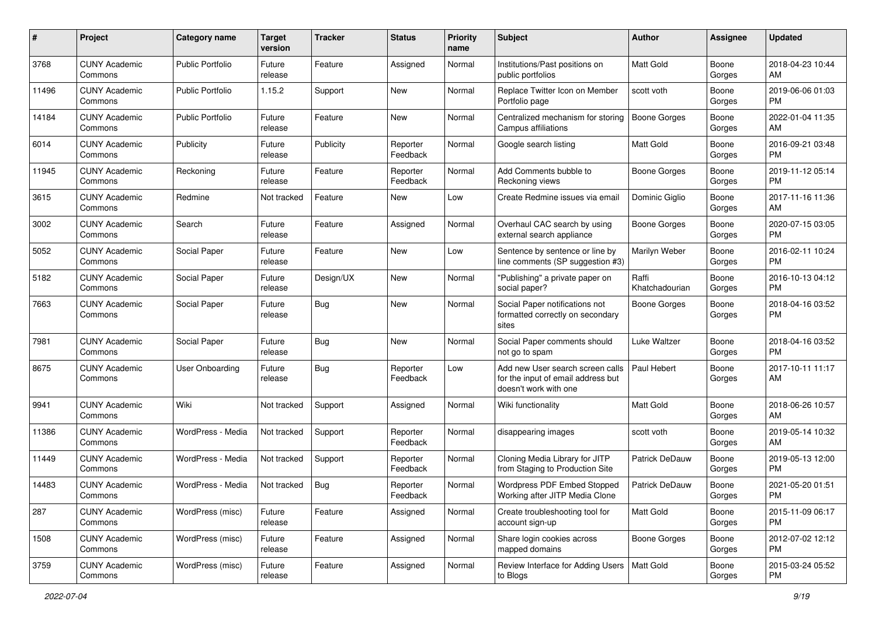| #     | Project                         | <b>Category name</b>    | <b>Target</b><br>version | <b>Tracker</b> | <b>Status</b>        | <b>Priority</b><br>name | Subject                                                                                         | Author                  | Assignee        | <b>Updated</b>                |
|-------|---------------------------------|-------------------------|--------------------------|----------------|----------------------|-------------------------|-------------------------------------------------------------------------------------------------|-------------------------|-----------------|-------------------------------|
| 3768  | <b>CUNY Academic</b><br>Commons | <b>Public Portfolio</b> | Future<br>release        | Feature        | Assigned             | Normal                  | Institutions/Past positions on<br>public portfolios                                             | <b>Matt Gold</b>        | Boone<br>Gorges | 2018-04-23 10:44<br>AM        |
| 11496 | <b>CUNY Academic</b><br>Commons | <b>Public Portfolio</b> | 1.15.2                   | Support        | New                  | Normal                  | Replace Twitter Icon on Member<br>Portfolio page                                                | scott voth              | Boone<br>Gorges | 2019-06-06 01:03<br><b>PM</b> |
| 14184 | CUNY Academic<br>Commons        | <b>Public Portfolio</b> | Future<br>release        | Feature        | New                  | Normal                  | Centralized mechanism for storing<br>Campus affiliations                                        | <b>Boone Gorges</b>     | Boone<br>Gorges | 2022-01-04 11:35<br>AM        |
| 6014  | <b>CUNY Academic</b><br>Commons | Publicity               | Future<br>release        | Publicity      | Reporter<br>Feedback | Normal                  | Google search listing                                                                           | <b>Matt Gold</b>        | Boone<br>Gorges | 2016-09-21 03:48<br><b>PM</b> |
| 11945 | <b>CUNY Academic</b><br>Commons | Reckoning               | Future<br>release        | Feature        | Reporter<br>Feedback | Normal                  | Add Comments bubble to<br>Reckoning views                                                       | Boone Gorges            | Boone<br>Gorges | 2019-11-12 05:14<br><b>PM</b> |
| 3615  | <b>CUNY Academic</b><br>Commons | Redmine                 | Not tracked              | Feature        | New                  | Low                     | Create Redmine issues via email                                                                 | Dominic Giglio          | Boone<br>Gorges | 2017-11-16 11:36<br>AM        |
| 3002  | <b>CUNY Academic</b><br>Commons | Search                  | Future<br>release        | Feature        | Assigned             | Normal                  | Overhaul CAC search by using<br>external search appliance                                       | <b>Boone Gorges</b>     | Boone<br>Gorges | 2020-07-15 03:05<br><b>PM</b> |
| 5052  | <b>CUNY Academic</b><br>Commons | Social Paper            | Future<br>release        | Feature        | New                  | Low                     | Sentence by sentence or line by<br>line comments (SP suggestion #3)                             | Marilyn Weber           | Boone<br>Gorges | 2016-02-11 10:24<br>PM.       |
| 5182  | <b>CUNY Academic</b><br>Commons | Social Paper            | Future<br>release        | Design/UX      | New                  | Normal                  | "Publishing" a private paper on<br>social paper?                                                | Raffi<br>Khatchadourian | Boone<br>Gorges | 2016-10-13 04:12<br><b>PM</b> |
| 7663  | <b>CUNY Academic</b><br>Commons | Social Paper            | Future<br>release        | Bug            | New                  | Normal                  | Social Paper notifications not<br>formatted correctly on secondary<br>sites                     | Boone Gorges            | Boone<br>Gorges | 2018-04-16 03:52<br>PM        |
| 7981  | <b>CUNY Academic</b><br>Commons | Social Paper            | Future<br>release        | Bug            | New                  | Normal                  | Social Paper comments should<br>not go to spam                                                  | Luke Waltzer            | Boone<br>Gorges | 2018-04-16 03:52<br><b>PM</b> |
| 8675  | <b>CUNY Academic</b><br>Commons | <b>User Onboarding</b>  | Future<br>release        | Bug            | Reporter<br>Feedback | Low                     | Add new User search screen calls<br>for the input of email address but<br>doesn't work with one | Paul Hebert             | Boone<br>Gorges | 2017-10-11 11:17<br>AM        |
| 9941  | <b>CUNY Academic</b><br>Commons | Wiki                    | Not tracked              | Support        | Assigned             | Normal                  | Wiki functionality                                                                              | <b>Matt Gold</b>        | Boone<br>Gorges | 2018-06-26 10:57<br>AM        |
| 11386 | <b>CUNY Academic</b><br>Commons | WordPress - Media       | Not tracked              | Support        | Reporter<br>Feedback | Normal                  | disappearing images                                                                             | scott voth              | Boone<br>Gorges | 2019-05-14 10:32<br>AM        |
| 11449 | <b>CUNY Academic</b><br>Commons | WordPress - Media       | Not tracked              | Support        | Reporter<br>Feedback | Normal                  | Cloning Media Library for JITP<br>from Staging to Production Site                               | Patrick DeDauw          | Boone<br>Gorges | 2019-05-13 12:00<br><b>PM</b> |
| 14483 | CUNY Academic<br>Commons        | WordPress - Media       | Not tracked              | Bug            | Reporter<br>Feedback | Normal                  | Wordpress PDF Embed Stopped<br>Working after JITP Media Clone                                   | Patrick DeDauw          | Boone<br>Gorges | 2021-05-20 01:51<br>PM        |
| 287   | <b>CUNY Academic</b><br>Commons | WordPress (misc)        | Future<br>release        | Feature        | Assigned             | Normal                  | Create troubleshooting tool for<br>account sign-up                                              | Matt Gold               | Boone<br>Gorges | 2015-11-09 06:17<br>PM        |
| 1508  | <b>CUNY Academic</b><br>Commons | WordPress (misc)        | Future<br>release        | Feature        | Assigned             | Normal                  | Share login cookies across<br>mapped domains                                                    | Boone Gorges            | Boone<br>Gorges | 2012-07-02 12:12<br><b>PM</b> |
| 3759  | <b>CUNY Academic</b><br>Commons | WordPress (misc)        | Future<br>release        | Feature        | Assigned             | Normal                  | Review Interface for Adding Users   Matt Gold<br>to Blogs                                       |                         | Boone<br>Gorges | 2015-03-24 05:52<br>PM        |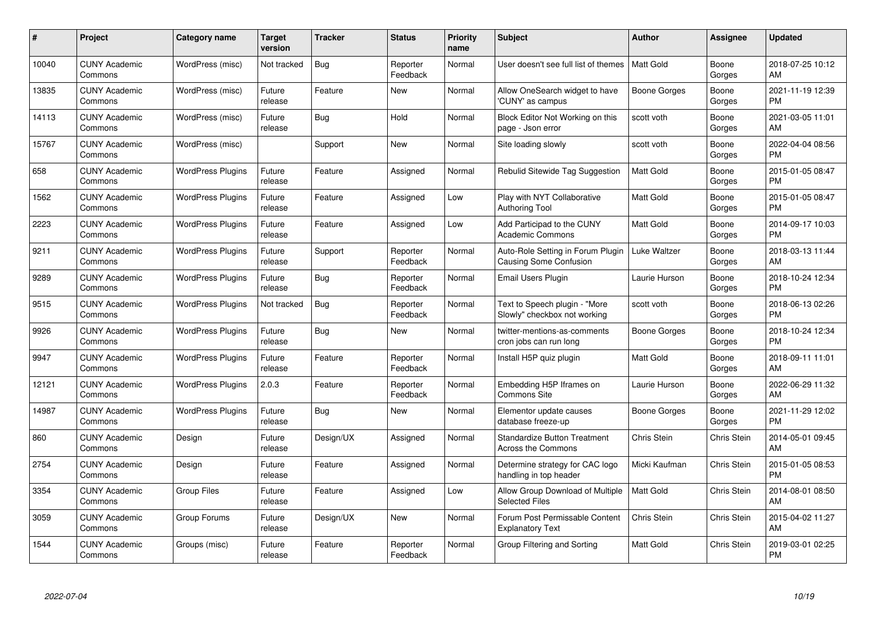| $\pmb{\#}$ | Project                         | <b>Category name</b>     | <b>Target</b><br>version | <b>Tracker</b> | <b>Status</b>        | <b>Priority</b><br>name | <b>Subject</b>                                                     | <b>Author</b>    | <b>Assignee</b>    | <b>Updated</b>                |
|------------|---------------------------------|--------------------------|--------------------------|----------------|----------------------|-------------------------|--------------------------------------------------------------------|------------------|--------------------|-------------------------------|
| 10040      | <b>CUNY Academic</b><br>Commons | WordPress (misc)         | Not tracked              | <b>Bug</b>     | Reporter<br>Feedback | Normal                  | User doesn't see full list of themes                               | <b>Matt Gold</b> | Boone<br>Gorges    | 2018-07-25 10:12<br>AM        |
| 13835      | <b>CUNY Academic</b><br>Commons | WordPress (misc)         | Future<br>release        | Feature        | <b>New</b>           | Normal                  | Allow OneSearch widget to have<br>'CUNY' as campus                 | Boone Gorges     | Boone<br>Gorges    | 2021-11-19 12:39<br><b>PM</b> |
| 14113      | <b>CUNY Academic</b><br>Commons | WordPress (misc)         | Future<br>release        | <b>Bug</b>     | Hold                 | Normal                  | Block Editor Not Working on this<br>page - Json error              | scott voth       | Boone<br>Gorges    | 2021-03-05 11:01<br>AM        |
| 15767      | <b>CUNY Academic</b><br>Commons | WordPress (misc)         |                          | Support        | <b>New</b>           | Normal                  | Site loading slowly                                                | scott voth       | Boone<br>Gorges    | 2022-04-04 08:56<br><b>PM</b> |
| 658        | <b>CUNY Academic</b><br>Commons | <b>WordPress Plugins</b> | Future<br>release        | Feature        | Assigned             | Normal                  | Rebulid Sitewide Tag Suggestion                                    | <b>Matt Gold</b> | Boone<br>Gorges    | 2015-01-05 08:47<br><b>PM</b> |
| 1562       | <b>CUNY Academic</b><br>Commons | <b>WordPress Plugins</b> | Future<br>release        | Feature        | Assigned             | Low                     | Play with NYT Collaborative<br>Authoring Tool                      | Matt Gold        | Boone<br>Gorges    | 2015-01-05 08:47<br><b>PM</b> |
| 2223       | <b>CUNY Academic</b><br>Commons | <b>WordPress Plugins</b> | Future<br>release        | Feature        | Assigned             | Low                     | Add Participad to the CUNY<br><b>Academic Commons</b>              | <b>Matt Gold</b> | Boone<br>Gorges    | 2014-09-17 10:03<br><b>PM</b> |
| 9211       | <b>CUNY Academic</b><br>Commons | <b>WordPress Plugins</b> | Future<br>release        | Support        | Reporter<br>Feedback | Normal                  | Auto-Role Setting in Forum Plugin<br><b>Causing Some Confusion</b> | Luke Waltzer     | Boone<br>Gorges    | 2018-03-13 11:44<br>AM        |
| 9289       | <b>CUNY Academic</b><br>Commons | <b>WordPress Plugins</b> | Future<br>release        | <b>Bug</b>     | Reporter<br>Feedback | Normal                  | <b>Email Users Plugin</b>                                          | Laurie Hurson    | Boone<br>Gorges    | 2018-10-24 12:34<br><b>PM</b> |
| 9515       | <b>CUNY Academic</b><br>Commons | <b>WordPress Plugins</b> | Not tracked              | <b>Bug</b>     | Reporter<br>Feedback | Normal                  | Text to Speech plugin - "More<br>Slowly" checkbox not working      | scott voth       | Boone<br>Gorges    | 2018-06-13 02:26<br><b>PM</b> |
| 9926       | <b>CUNY Academic</b><br>Commons | <b>WordPress Plugins</b> | Future<br>release        | Bug            | New                  | Normal                  | twitter-mentions-as-comments<br>cron jobs can run long             | Boone Gorges     | Boone<br>Gorges    | 2018-10-24 12:34<br><b>PM</b> |
| 9947       | <b>CUNY Academic</b><br>Commons | <b>WordPress Plugins</b> | Future<br>release        | Feature        | Reporter<br>Feedback | Normal                  | Install H5P quiz plugin                                            | <b>Matt Gold</b> | Boone<br>Gorges    | 2018-09-11 11:01<br>AM        |
| 12121      | <b>CUNY Academic</b><br>Commons | <b>WordPress Plugins</b> | 2.0.3                    | Feature        | Reporter<br>Feedback | Normal                  | Embedding H5P Iframes on<br>Commons Site                           | Laurie Hurson    | Boone<br>Gorges    | 2022-06-29 11:32<br>AM        |
| 14987      | <b>CUNY Academic</b><br>Commons | <b>WordPress Plugins</b> | Future<br>release        | Bug            | New                  | Normal                  | Elementor update causes<br>database freeze-up                      | Boone Gorges     | Boone<br>Gorges    | 2021-11-29 12:02<br><b>PM</b> |
| 860        | <b>CUNY Academic</b><br>Commons | Design                   | Future<br>release        | Design/UX      | Assigned             | Normal                  | <b>Standardize Button Treatment</b><br>Across the Commons          | Chris Stein      | <b>Chris Stein</b> | 2014-05-01 09:45<br>AM        |
| 2754       | <b>CUNY Academic</b><br>Commons | Design                   | Future<br>release        | Feature        | Assigned             | Normal                  | Determine strategy for CAC logo<br>handling in top header          | Micki Kaufman    | Chris Stein        | 2015-01-05 08:53<br><b>PM</b> |
| 3354       | <b>CUNY Academic</b><br>Commons | <b>Group Files</b>       | Future<br>release        | Feature        | Assigned             | Low                     | Allow Group Download of Multiple<br><b>Selected Files</b>          | <b>Matt Gold</b> | <b>Chris Stein</b> | 2014-08-01 08:50<br>AM        |
| 3059       | <b>CUNY Academic</b><br>Commons | Group Forums             | Future<br>release        | Design/UX      | New                  | Normal                  | Forum Post Permissable Content<br><b>Explanatory Text</b>          | Chris Stein      | Chris Stein        | 2015-04-02 11:27<br>AM        |
| 1544       | <b>CUNY Academic</b><br>Commons | Groups (misc)            | Future<br>release        | Feature        | Reporter<br>Feedback | Normal                  | Group Filtering and Sorting                                        | Matt Gold        | <b>Chris Stein</b> | 2019-03-01 02:25<br>PM        |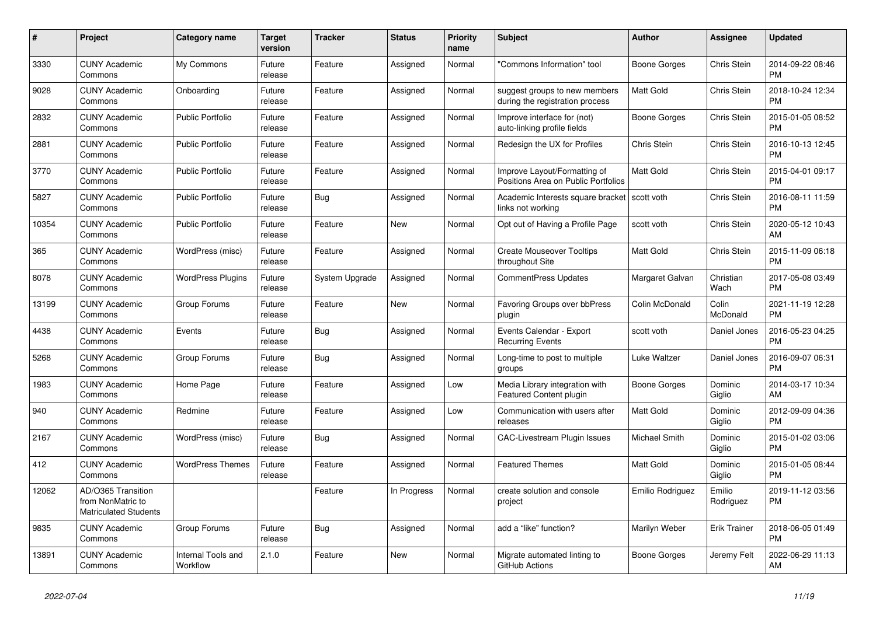| #     | Project                                                                 | <b>Category name</b>           | <b>Target</b><br>version | <b>Tracker</b> | <b>Status</b> | <b>Priority</b><br>name | <b>Subject</b>                                                      | <b>Author</b>    | Assignee            | <b>Updated</b>                |
|-------|-------------------------------------------------------------------------|--------------------------------|--------------------------|----------------|---------------|-------------------------|---------------------------------------------------------------------|------------------|---------------------|-------------------------------|
| 3330  | <b>CUNY Academic</b><br>Commons                                         | My Commons                     | Future<br>release        | Feature        | Assigned      | Normal                  | "Commons Information" tool                                          | Boone Gorges     | Chris Stein         | 2014-09-22 08:46<br><b>PM</b> |
| 9028  | <b>CUNY Academic</b><br>Commons                                         | Onboarding                     | Future<br>release        | Feature        | Assigned      | Normal                  | suggest groups to new members<br>during the registration process    | <b>Matt Gold</b> | Chris Stein         | 2018-10-24 12:34<br><b>PM</b> |
| 2832  | <b>CUNY Academic</b><br>Commons                                         | <b>Public Portfolio</b>        | Future<br>release        | Feature        | Assigned      | Normal                  | Improve interface for (not)<br>auto-linking profile fields          | Boone Gorges     | Chris Stein         | 2015-01-05 08:52<br><b>PM</b> |
| 2881  | <b>CUNY Academic</b><br>Commons                                         | <b>Public Portfolio</b>        | Future<br>release        | Feature        | Assigned      | Normal                  | Redesign the UX for Profiles                                        | Chris Stein      | Chris Stein         | 2016-10-13 12:45<br><b>PM</b> |
| 3770  | <b>CUNY Academic</b><br>Commons                                         | <b>Public Portfolio</b>        | Future<br>release        | Feature        | Assigned      | Normal                  | Improve Layout/Formatting of<br>Positions Area on Public Portfolios | Matt Gold        | Chris Stein         | 2015-04-01 09:17<br><b>PM</b> |
| 5827  | <b>CUNY Academic</b><br>Commons                                         | <b>Public Portfolio</b>        | Future<br>release        | Bug            | Assigned      | Normal                  | Academic Interests square bracket<br>links not working              | scott voth       | Chris Stein         | 2016-08-11 11:59<br><b>PM</b> |
| 10354 | <b>CUNY Academic</b><br>Commons                                         | <b>Public Portfolio</b>        | Future<br>release        | Feature        | <b>New</b>    | Normal                  | Opt out of Having a Profile Page                                    | scott voth       | Chris Stein         | 2020-05-12 10:43<br>AM        |
| 365   | <b>CUNY Academic</b><br>Commons                                         | WordPress (misc)               | Future<br>release        | Feature        | Assigned      | Normal                  | <b>Create Mouseover Tooltips</b><br>throughout Site                 | <b>Matt Gold</b> | Chris Stein         | 2015-11-09 06:18<br><b>PM</b> |
| 8078  | <b>CUNY Academic</b><br>Commons                                         | <b>WordPress Plugins</b>       | Future<br>release        | System Upgrade | Assigned      | Normal                  | CommentPress Updates                                                | Margaret Galvan  | Christian<br>Wach   | 2017-05-08 03:49<br><b>PM</b> |
| 13199 | <b>CUNY Academic</b><br>Commons                                         | Group Forums                   | Future<br>release        | Feature        | <b>New</b>    | Normal                  | Favoring Groups over bbPress<br>plugin                              | Colin McDonald   | Colin<br>McDonald   | 2021-11-19 12:28<br><b>PM</b> |
| 4438  | <b>CUNY Academic</b><br>Commons                                         | Events                         | Future<br>release        | Bug            | Assigned      | Normal                  | Events Calendar - Export<br><b>Recurring Events</b>                 | scott voth       | Daniel Jones        | 2016-05-23 04:25<br><b>PM</b> |
| 5268  | <b>CUNY Academic</b><br>Commons                                         | Group Forums                   | Future<br>release        | Bug            | Assigned      | Normal                  | Long-time to post to multiple<br>groups                             | Luke Waltzer     | Daniel Jones        | 2016-09-07 06:31<br><b>PM</b> |
| 1983  | <b>CUNY Academic</b><br>Commons                                         | Home Page                      | Future<br>release        | Feature        | Assigned      | Low                     | Media Library integration with<br><b>Featured Content plugin</b>    | Boone Gorges     | Dominic<br>Giglio   | 2014-03-17 10:34<br>AM        |
| 940   | <b>CUNY Academic</b><br>Commons                                         | Redmine                        | Future<br>release        | Feature        | Assigned      | Low                     | Communication with users after<br>releases                          | <b>Matt Gold</b> | Dominic<br>Giglio   | 2012-09-09 04:36<br><b>PM</b> |
| 2167  | <b>CUNY Academic</b><br>Commons                                         | WordPress (misc)               | Future<br>release        | Bug            | Assigned      | Normal                  | CAC-Livestream Plugin Issues                                        | Michael Smith    | Dominic<br>Giglio   | 2015-01-02 03:06<br><b>PM</b> |
| 412   | <b>CUNY Academic</b><br>Commons                                         | <b>WordPress Themes</b>        | Future<br>release        | Feature        | Assigned      | Normal                  | <b>Featured Themes</b>                                              | <b>Matt Gold</b> | Dominic<br>Giglio   | 2015-01-05 08:44<br><b>PM</b> |
| 12062 | AD/O365 Transition<br>from NonMatric to<br><b>Matriculated Students</b> |                                |                          | Feature        | In Progress   | Normal                  | create solution and console<br>project                              | Emilio Rodriguez | Emilio<br>Rodriguez | 2019-11-12 03:56<br><b>PM</b> |
| 9835  | <b>CUNY Academic</b><br>Commons                                         | Group Forums                   | Future<br>release        | Bug            | Assigned      | Normal                  | add a "like" function?                                              | Marilyn Weber    | <b>Erik Trainer</b> | 2018-06-05 01:49<br><b>PM</b> |
| 13891 | <b>CUNY Academic</b><br>Commons                                         | Internal Tools and<br>Workflow | 2.1.0                    | Feature        | <b>New</b>    | Normal                  | Migrate automated linting to<br>GitHub Actions                      | Boone Gorges     | Jeremy Felt         | 2022-06-29 11:13<br>AM        |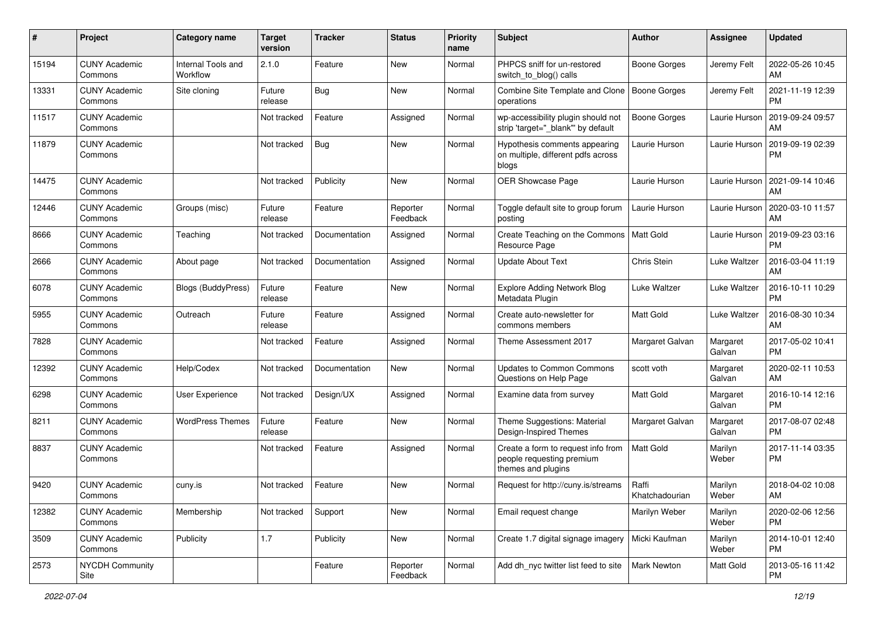| #     | Project                         | <b>Category name</b>           | <b>Target</b><br>version | <b>Tracker</b> | <b>Status</b>        | <b>Priority</b><br>name | Subject                                                                               | Author                  | Assignee           | <b>Updated</b>                |
|-------|---------------------------------|--------------------------------|--------------------------|----------------|----------------------|-------------------------|---------------------------------------------------------------------------------------|-------------------------|--------------------|-------------------------------|
| 15194 | <b>CUNY Academic</b><br>Commons | Internal Tools and<br>Workflow | 2.1.0                    | Feature        | New                  | Normal                  | PHPCS sniff for un-restored<br>switch to blog() calls                                 | <b>Boone Gorges</b>     | Jeremy Felt        | 2022-05-26 10:45<br>AM        |
| 13331 | <b>CUNY Academic</b><br>Commons | Site cloning                   | Future<br>release        | <b>Bug</b>     | New                  | Normal                  | Combine Site Template and Clone<br>operations                                         | <b>Boone Gorges</b>     | Jeremy Felt        | 2021-11-19 12:39<br><b>PM</b> |
| 11517 | <b>CUNY Academic</b><br>Commons |                                | Not tracked              | Feature        | Assigned             | Normal                  | wp-accessibility plugin should not<br>strip 'target=" blank" by default               | Boone Gorges            | Laurie Hurson      | 2019-09-24 09:57<br>AM        |
| 11879 | <b>CUNY Academic</b><br>Commons |                                | Not tracked              | Bug            | <b>New</b>           | Normal                  | Hypothesis comments appearing<br>on multiple, different pdfs across<br>blogs          | Laurie Hurson           | Laurie Hurson      | 2019-09-19 02:39<br><b>PM</b> |
| 14475 | <b>CUNY Academic</b><br>Commons |                                | Not tracked              | Publicity      | New                  | Normal                  | OER Showcase Page                                                                     | Laurie Hurson           | Laurie Hurson      | 2021-09-14 10:46<br>AM        |
| 12446 | <b>CUNY Academic</b><br>Commons | Groups (misc)                  | Future<br>release        | Feature        | Reporter<br>Feedback | Normal                  | Toggle default site to group forum<br>posting                                         | Laurie Hurson           | Laurie Hurson      | 2020-03-10 11:57<br>AM        |
| 8666  | <b>CUNY Academic</b><br>Commons | Teaching                       | Not tracked              | Documentation  | Assigned             | Normal                  | Create Teaching on the Commons<br>Resource Page                                       | Matt Gold               | Laurie Hurson      | 2019-09-23 03:16<br><b>PM</b> |
| 2666  | <b>CUNY Academic</b><br>Commons | About page                     | Not tracked              | Documentation  | Assigned             | Normal                  | <b>Update About Text</b>                                                              | Chris Stein             | Luke Waltzer       | 2016-03-04 11:19<br>AM        |
| 6078  | <b>CUNY Academic</b><br>Commons | Blogs (BuddyPress)             | Future<br>release        | Feature        | New                  | Normal                  | <b>Explore Adding Network Blog</b><br>Metadata Plugin                                 | Luke Waltzer            | Luke Waltzer       | 2016-10-11 10:29<br><b>PM</b> |
| 5955  | <b>CUNY Academic</b><br>Commons | Outreach                       | Future<br>release        | Feature        | Assigned             | Normal                  | Create auto-newsletter for<br>commons members                                         | <b>Matt Gold</b>        | Luke Waltzer       | 2016-08-30 10:34<br>AM        |
| 7828  | <b>CUNY Academic</b><br>Commons |                                | Not tracked              | Feature        | Assigned             | Normal                  | Theme Assessment 2017                                                                 | Margaret Galvan         | Margaret<br>Galvan | 2017-05-02 10:41<br><b>PM</b> |
| 12392 | <b>CUNY Academic</b><br>Commons | Help/Codex                     | Not tracked              | Documentation  | New                  | Normal                  | Updates to Common Commons<br>Questions on Help Page                                   | scott voth              | Margaret<br>Galvan | 2020-02-11 10:53<br>AM        |
| 6298  | <b>CUNY Academic</b><br>Commons | <b>User Experience</b>         | Not tracked              | Design/UX      | Assigned             | Normal                  | Examine data from survey                                                              | <b>Matt Gold</b>        | Margaret<br>Galvan | 2016-10-14 12:16<br><b>PM</b> |
| 8211  | <b>CUNY Academic</b><br>Commons | <b>WordPress Themes</b>        | Future<br>release        | Feature        | New                  | Normal                  | Theme Suggestions: Material<br>Design-Inspired Themes                                 | Margaret Galvan         | Margaret<br>Galvan | 2017-08-07 02:48<br><b>PM</b> |
| 8837  | <b>CUNY Academic</b><br>Commons |                                | Not tracked              | Feature        | Assigned             | Normal                  | Create a form to request info from<br>people requesting premium<br>themes and plugins | <b>Matt Gold</b>        | Marilyn<br>Weber   | 2017-11-14 03:35<br><b>PM</b> |
| 9420  | <b>CUNY Academic</b><br>Commons | cuny.is                        | Not tracked              | Feature        | New                  | Normal                  | Request for http://cuny.is/streams                                                    | Raffi<br>Khatchadourian | Marilyn<br>Weber   | 2018-04-02 10:08<br>AM        |
| 12382 | <b>CUNY Academic</b><br>Commons | Membership                     | Not tracked              | Support        | New                  | Normal                  | Email request change                                                                  | Marilyn Weber           | Marilyn<br>Weber   | 2020-02-06 12:56<br><b>PM</b> |
| 3509  | <b>CUNY Academic</b><br>Commons | Publicity                      | 1.7                      | Publicity      | New                  | Normal                  | Create 1.7 digital signage imagery                                                    | Micki Kaufman           | Marilyn<br>Weber   | 2014-10-01 12:40<br><b>PM</b> |
| 2573  | NYCDH Community<br>Site         |                                |                          | Feature        | Reporter<br>Feedback | Normal                  | Add dh_nyc twitter list feed to site                                                  | Mark Newton             | Matt Gold          | 2013-05-16 11:42<br><b>PM</b> |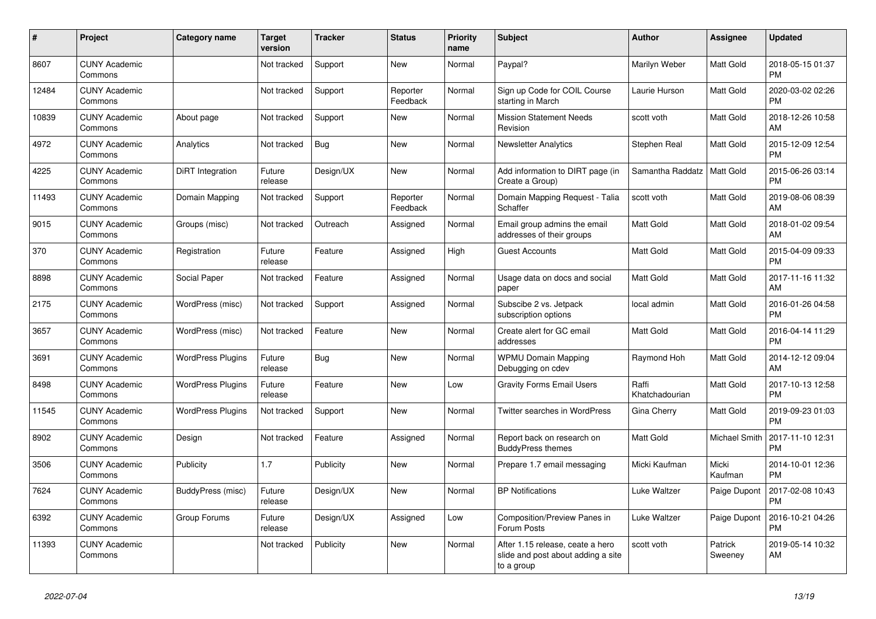| #     | Project                         | <b>Category name</b>     | <b>Target</b><br>version | <b>Tracker</b> | <b>Status</b>        | Priority<br>name | <b>Subject</b>                                                                       | <b>Author</b>           | <b>Assignee</b>    | <b>Updated</b>                |
|-------|---------------------------------|--------------------------|--------------------------|----------------|----------------------|------------------|--------------------------------------------------------------------------------------|-------------------------|--------------------|-------------------------------|
| 8607  | <b>CUNY Academic</b><br>Commons |                          | Not tracked              | Support        | <b>New</b>           | Normal           | Paypal?                                                                              | Marilyn Weber           | Matt Gold          | 2018-05-15 01:37<br><b>PM</b> |
| 12484 | <b>CUNY Academic</b><br>Commons |                          | Not tracked              | Support        | Reporter<br>Feedback | Normal           | Sign up Code for COIL Course<br>starting in March                                    | Laurie Hurson           | Matt Gold          | 2020-03-02 02:26<br><b>PM</b> |
| 10839 | <b>CUNY Academic</b><br>Commons | About page               | Not tracked              | Support        | New                  | Normal           | <b>Mission Statement Needs</b><br>Revision                                           | scott voth              | Matt Gold          | 2018-12-26 10:58<br>AM        |
| 4972  | <b>CUNY Academic</b><br>Commons | Analytics                | Not tracked              | <b>Bug</b>     | New                  | Normal           | <b>Newsletter Analytics</b>                                                          | Stephen Real            | Matt Gold          | 2015-12-09 12:54<br><b>PM</b> |
| 4225  | <b>CUNY Academic</b><br>Commons | DiRT Integration         | Future<br>release        | Design/UX      | New                  | Normal           | Add information to DIRT page (in<br>Create a Group)                                  | Samantha Raddatz        | Matt Gold          | 2015-06-26 03:14<br><b>PM</b> |
| 11493 | <b>CUNY Academic</b><br>Commons | Domain Mapping           | Not tracked              | Support        | Reporter<br>Feedback | Normal           | Domain Mapping Request - Talia<br>Schaffer                                           | scott voth              | Matt Gold          | 2019-08-06 08:39<br>AM        |
| 9015  | <b>CUNY Academic</b><br>Commons | Groups (misc)            | Not tracked              | Outreach       | Assigned             | Normal           | Email group admins the email<br>addresses of their groups                            | <b>Matt Gold</b>        | Matt Gold          | 2018-01-02 09:54<br>AM        |
| 370   | <b>CUNY Academic</b><br>Commons | Registration             | Future<br>release        | Feature        | Assigned             | High             | <b>Guest Accounts</b>                                                                | Matt Gold               | Matt Gold          | 2015-04-09 09:33<br><b>PM</b> |
| 8898  | <b>CUNY Academic</b><br>Commons | Social Paper             | Not tracked              | Feature        | Assigned             | Normal           | Usage data on docs and social<br>paper                                               | Matt Gold               | Matt Gold          | 2017-11-16 11:32<br>AM        |
| 2175  | <b>CUNY Academic</b><br>Commons | WordPress (misc)         | Not tracked              | Support        | Assigned             | Normal           | Subscibe 2 vs. Jetpack<br>subscription options                                       | local admin             | Matt Gold          | 2016-01-26 04:58<br><b>PM</b> |
| 3657  | <b>CUNY Academic</b><br>Commons | WordPress (misc)         | Not tracked              | Feature        | New                  | Normal           | Create alert for GC email<br>addresses                                               | Matt Gold               | Matt Gold          | 2016-04-14 11:29<br><b>PM</b> |
| 3691  | <b>CUNY Academic</b><br>Commons | <b>WordPress Plugins</b> | Future<br>release        | Bug            | New                  | Normal           | <b>WPMU Domain Mapping</b><br>Debugging on cdev                                      | Raymond Hoh             | Matt Gold          | 2014-12-12 09:04<br>AM        |
| 8498  | <b>CUNY Academic</b><br>Commons | <b>WordPress Plugins</b> | Future<br>release        | Feature        | <b>New</b>           | Low              | <b>Gravity Forms Email Users</b>                                                     | Raffi<br>Khatchadourian | Matt Gold          | 2017-10-13 12:58<br><b>PM</b> |
| 11545 | <b>CUNY Academic</b><br>Commons | <b>WordPress Plugins</b> | Not tracked              | Support        | <b>New</b>           | Normal           | Twitter searches in WordPress                                                        | Gina Cherry             | Matt Gold          | 2019-09-23 01:03<br><b>PM</b> |
| 8902  | <b>CUNY Academic</b><br>Commons | Design                   | Not tracked              | Feature        | Assigned             | Normal           | Report back on research on<br><b>BuddyPress themes</b>                               | Matt Gold               | Michael Smith      | 2017-11-10 12:31<br><b>PM</b> |
| 3506  | <b>CUNY Academic</b><br>Commons | Publicity                | 1.7                      | Publicity      | <b>New</b>           | Normal           | Prepare 1.7 email messaging                                                          | Micki Kaufman           | Micki<br>Kaufman   | 2014-10-01 12:36<br><b>PM</b> |
| 7624  | <b>CUNY Academic</b><br>Commons | <b>BuddyPress (misc)</b> | Future<br>release        | Design/UX      | <b>New</b>           | Normal           | <b>BP Notifications</b>                                                              | Luke Waltzer            | Paige Dupont       | 2017-02-08 10:43<br><b>PM</b> |
| 6392  | <b>CUNY Academic</b><br>Commons | Group Forums             | Future<br>release        | Design/UX      | Assigned             | Low              | Composition/Preview Panes in<br>Forum Posts                                          | Luke Waltzer            | Paige Dupont       | 2016-10-21 04:26<br><b>PM</b> |
| 11393 | <b>CUNY Academic</b><br>Commons |                          | Not tracked              | Publicity      | New                  | Normal           | After 1.15 release, ceate a hero<br>slide and post about adding a site<br>to a group | scott voth              | Patrick<br>Sweeney | 2019-05-14 10:32<br>AM        |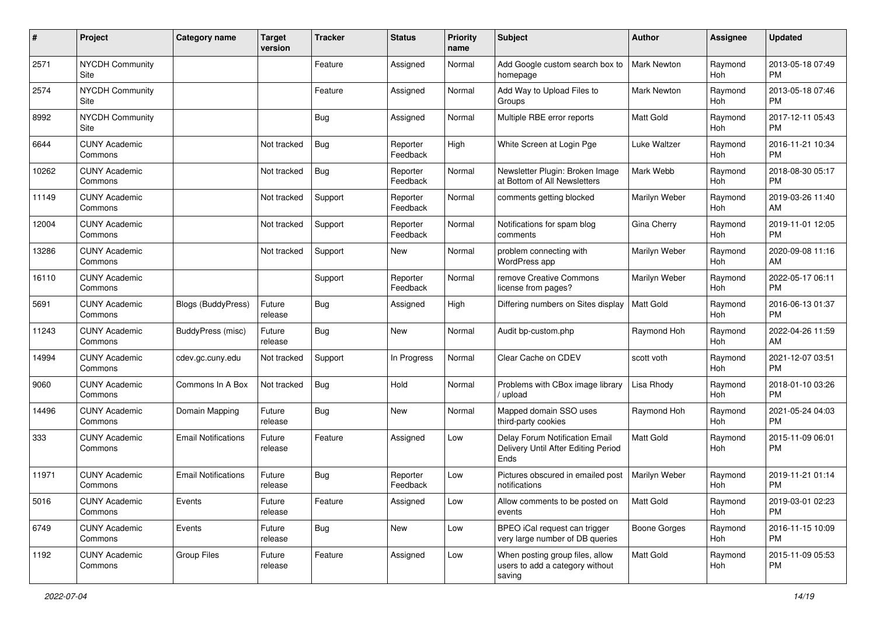| #     | Project                         | <b>Category name</b>       | <b>Target</b><br>version | <b>Tracker</b> | <b>Status</b>        | Priority<br>name | <b>Subject</b>                                                                | Author               | <b>Assignee</b> | <b>Updated</b>                |
|-------|---------------------------------|----------------------------|--------------------------|----------------|----------------------|------------------|-------------------------------------------------------------------------------|----------------------|-----------------|-------------------------------|
| 2571  | <b>NYCDH Community</b><br>Site  |                            |                          | Feature        | Assigned             | Normal           | Add Google custom search box to<br>homepage                                   | <b>Mark Newton</b>   | Raymond<br>Hoh  | 2013-05-18 07:49<br><b>PM</b> |
| 2574  | NYCDH Community<br>Site         |                            |                          | Feature        | Assigned             | Normal           | Add Way to Upload Files to<br>Groups                                          | Mark Newton          | Raymond<br>Hoh  | 2013-05-18 07:46<br><b>PM</b> |
| 8992  | <b>NYCDH Community</b><br>Site  |                            |                          | <b>Bug</b>     | Assigned             | Normal           | Multiple RBE error reports                                                    | Matt Gold            | Raymond<br>Hoh  | 2017-12-11 05:43<br><b>PM</b> |
| 6644  | <b>CUNY Academic</b><br>Commons |                            | Not tracked              | Bug            | Reporter<br>Feedback | High             | White Screen at Login Pge                                                     | Luke Waltzer         | Raymond<br>Hoh  | 2016-11-21 10:34<br><b>PM</b> |
| 10262 | <b>CUNY Academic</b><br>Commons |                            | Not tracked              | Bug            | Reporter<br>Feedback | Normal           | Newsletter Plugin: Broken Image<br>at Bottom of All Newsletters               | Mark Webb            | Raymond<br>Hoh  | 2018-08-30 05:17<br><b>PM</b> |
| 11149 | <b>CUNY Academic</b><br>Commons |                            | Not tracked              | Support        | Reporter<br>Feedback | Normal           | comments getting blocked                                                      | Marilyn Weber        | Raymond<br>Hoh  | 2019-03-26 11:40<br>AM        |
| 12004 | <b>CUNY Academic</b><br>Commons |                            | Not tracked              | Support        | Reporter<br>Feedback | Normal           | Notifications for spam blog<br>comments                                       | Gina Cherry          | Raymond<br>Hoh  | 2019-11-01 12:05<br><b>PM</b> |
| 13286 | <b>CUNY Academic</b><br>Commons |                            | Not tracked              | Support        | <b>New</b>           | Normal           | problem connecting with<br>WordPress app                                      | Marilyn Weber        | Raymond<br>Hoh  | 2020-09-08 11:16<br>AM        |
| 16110 | <b>CUNY Academic</b><br>Commons |                            |                          | Support        | Reporter<br>Feedback | Normal           | remove Creative Commons<br>license from pages?                                | Marilyn Weber        | Raymond<br>Hoh  | 2022-05-17 06:11<br><b>PM</b> |
| 5691  | <b>CUNY Academic</b><br>Commons | <b>Blogs (BuddyPress)</b>  | Future<br>release        | Bug            | Assigned             | High             | Differing numbers on Sites display                                            | Matt Gold            | Raymond<br>Hoh  | 2016-06-13 01:37<br><b>PM</b> |
| 11243 | <b>CUNY Academic</b><br>Commons | <b>BuddyPress</b> (misc)   | Future<br>release        | Bug            | New                  | Normal           | Audit bp-custom.php                                                           | Raymond Hoh          | Raymond<br>Hoh  | 2022-04-26 11:59<br>AM        |
| 14994 | <b>CUNY Academic</b><br>Commons | cdev.gc.cuny.edu           | Not tracked              | Support        | In Progress          | Normal           | Clear Cache on CDEV                                                           | scott voth           | Raymond<br>Hoh  | 2021-12-07 03:51<br><b>PM</b> |
| 9060  | <b>CUNY Academic</b><br>Commons | Commons In A Box           | Not tracked              | Bug            | Hold                 | Normal           | Problems with CBox image library<br>upload                                    | Lisa Rhody           | Raymond<br>Hoh  | 2018-01-10 03:26<br><b>PM</b> |
| 14496 | <b>CUNY Academic</b><br>Commons | Domain Mapping             | Future<br>release        | Bug            | <b>New</b>           | Normal           | Mapped domain SSO uses<br>third-party cookies                                 | Raymond Hoh          | Raymond<br>Hoh  | 2021-05-24 04:03<br><b>PM</b> |
| 333   | <b>CUNY Academic</b><br>Commons | <b>Email Notifications</b> | Future<br>release        | Feature        | Assigned             | Low              | Delay Forum Notification Email<br>Delivery Until After Editing Period<br>Ends | <b>Matt Gold</b>     | Raymond<br>Hoh  | 2015-11-09 06:01<br><b>PM</b> |
| 11971 | <b>CUNY Academic</b><br>Commons | <b>Email Notifications</b> | Future<br>release        | Bug            | Reporter<br>Feedback | Low              | Pictures obscured in emailed post<br>notifications                            | <b>Marilyn Weber</b> | Raymond<br>Hoh  | 2019-11-21 01:14<br><b>PM</b> |
| 5016  | <b>CUNY Academic</b><br>Commons | Events                     | Future<br>release        | Feature        | Assigned             | Low              | Allow comments to be posted on<br>events                                      | Matt Gold            | Raymond<br>Hoh  | 2019-03-01 02:23<br><b>PM</b> |
| 6749  | <b>CUNY Academic</b><br>Commons | Events                     | Future<br>release        | Bug            | New                  | Low              | BPEO iCal request can trigger<br>very large number of DB queries              | Boone Gorges         | Raymond<br>Hoh  | 2016-11-15 10:09<br><b>PM</b> |
| 1192  | <b>CUNY Academic</b><br>Commons | Group Files                | Future<br>release        | Feature        | Assigned             | Low              | When posting group files, allow<br>users to add a category without<br>saving  | Matt Gold            | Raymond<br>Hoh  | 2015-11-09 05:53<br><b>PM</b> |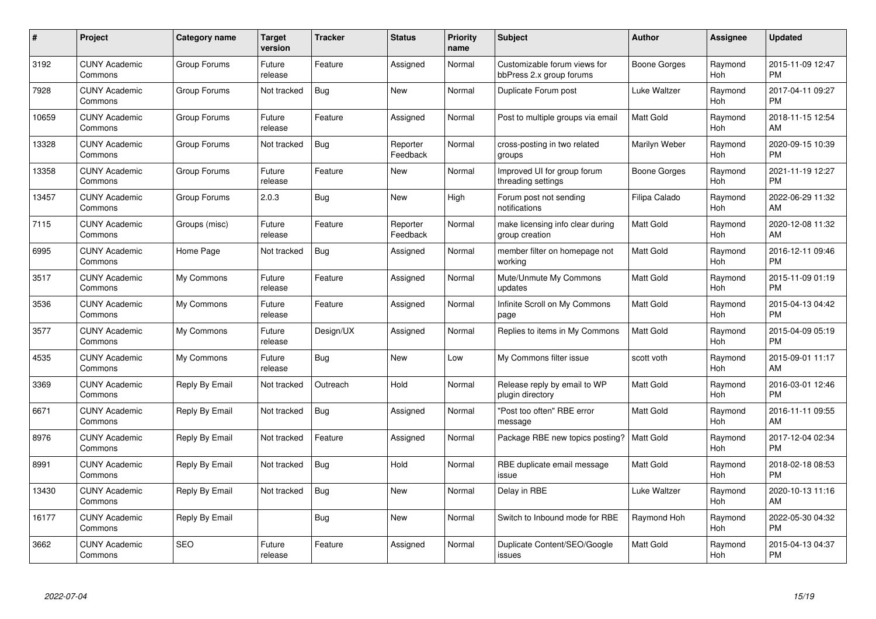| $\#$  | Project                         | <b>Category name</b> | Target<br>version | <b>Tracker</b> | <b>Status</b>        | Priority<br>name | <b>Subject</b>                                           | <b>Author</b>    | <b>Assignee</b> | <b>Updated</b>                |
|-------|---------------------------------|----------------------|-------------------|----------------|----------------------|------------------|----------------------------------------------------------|------------------|-----------------|-------------------------------|
| 3192  | <b>CUNY Academic</b><br>Commons | Group Forums         | Future<br>release | Feature        | Assigned             | Normal           | Customizable forum views for<br>bbPress 2.x group forums | Boone Gorges     | Raymond<br>Hoh  | 2015-11-09 12:47<br><b>PM</b> |
| 7928  | <b>CUNY Academic</b><br>Commons | Group Forums         | Not tracked       | Bug            | <b>New</b>           | Normal           | Duplicate Forum post                                     | Luke Waltzer     | Raymond<br>Hoh  | 2017-04-11 09:27<br><b>PM</b> |
| 10659 | <b>CUNY Academic</b><br>Commons | Group Forums         | Future<br>release | Feature        | Assigned             | Normal           | Post to multiple groups via email                        | <b>Matt Gold</b> | Raymond<br>Hoh  | 2018-11-15 12:54<br>AM        |
| 13328 | <b>CUNY Academic</b><br>Commons | Group Forums         | Not tracked       | Bug            | Reporter<br>Feedback | Normal           | cross-posting in two related<br>groups                   | Marilyn Weber    | Raymond<br>Hoh  | 2020-09-15 10:39<br><b>PM</b> |
| 13358 | <b>CUNY Academic</b><br>Commons | Group Forums         | Future<br>release | Feature        | New                  | Normal           | Improved UI for group forum<br>threading settings        | Boone Gorges     | Raymond<br>Hoh  | 2021-11-19 12:27<br><b>PM</b> |
| 13457 | <b>CUNY Academic</b><br>Commons | Group Forums         | 2.0.3             | <b>Bug</b>     | New                  | High             | Forum post not sending<br>notifications                  | Filipa Calado    | Raymond<br>Hoh  | 2022-06-29 11:32<br>AM        |
| 7115  | <b>CUNY Academic</b><br>Commons | Groups (misc)        | Future<br>release | Feature        | Reporter<br>Feedback | Normal           | make licensing info clear during<br>group creation       | <b>Matt Gold</b> | Raymond<br>Hoh  | 2020-12-08 11:32<br>AM        |
| 6995  | <b>CUNY Academic</b><br>Commons | Home Page            | Not tracked       | Bug            | Assigned             | Normal           | member filter on homepage not<br>working                 | <b>Matt Gold</b> | Raymond<br>Hoh  | 2016-12-11 09:46<br><b>PM</b> |
| 3517  | <b>CUNY Academic</b><br>Commons | My Commons           | Future<br>release | Feature        | Assigned             | Normal           | Mute/Unmute My Commons<br>updates                        | <b>Matt Gold</b> | Raymond<br>Hoh  | 2015-11-09 01:19<br><b>PM</b> |
| 3536  | <b>CUNY Academic</b><br>Commons | My Commons           | Future<br>release | Feature        | Assigned             | Normal           | Infinite Scroll on My Commons<br>page                    | <b>Matt Gold</b> | Raymond<br>Hoh  | 2015-04-13 04:42<br><b>PM</b> |
| 3577  | <b>CUNY Academic</b><br>Commons | My Commons           | Future<br>release | Design/UX      | Assigned             | Normal           | Replies to items in My Commons                           | <b>Matt Gold</b> | Raymond<br>Hoh  | 2015-04-09 05:19<br><b>PM</b> |
| 4535  | <b>CUNY Academic</b><br>Commons | My Commons           | Future<br>release | Bug            | New                  | Low              | My Commons filter issue                                  | scott voth       | Raymond<br>Hoh  | 2015-09-01 11:17<br>AM        |
| 3369  | <b>CUNY Academic</b><br>Commons | Reply By Email       | Not tracked       | Outreach       | Hold                 | Normal           | Release reply by email to WP<br>plugin directory         | Matt Gold        | Raymond<br>Hoh  | 2016-03-01 12:46<br><b>PM</b> |
| 6671  | <b>CUNY Academic</b><br>Commons | Reply By Email       | Not tracked       | Bug            | Assigned             | Normal           | "Post too often" RBE error<br>message                    | <b>Matt Gold</b> | Raymond<br>Hoh  | 2016-11-11 09:55<br>AM        |
| 8976  | <b>CUNY Academic</b><br>Commons | Reply By Email       | Not tracked       | Feature        | Assigned             | Normal           | Package RBE new topics posting?                          | Matt Gold        | Raymond<br>Hoh  | 2017-12-04 02:34<br><b>PM</b> |
| 8991  | <b>CUNY Academic</b><br>Commons | Reply By Email       | Not tracked       | Bug            | Hold                 | Normal           | RBE duplicate email message<br>issue                     | Matt Gold        | Raymond<br>Hoh  | 2018-02-18 08:53<br><b>PM</b> |
| 13430 | <b>CUNY Academic</b><br>Commons | Reply By Email       | Not tracked       | Bug            | New                  | Normal           | Delay in RBE                                             | Luke Waltzer     | Raymond<br>Hoh  | 2020-10-13 11:16<br>AM        |
| 16177 | <b>CUNY Academic</b><br>Commons | Reply By Email       |                   | Bug            | New                  | Normal           | Switch to Inbound mode for RBE                           | Raymond Hoh      | Raymond<br>Hoh  | 2022-05-30 04:32<br><b>PM</b> |
| 3662  | CUNY Academic<br>Commons        | <b>SEO</b>           | Future<br>release | Feature        | Assigned             | Normal           | Duplicate Content/SEO/Google<br>issues                   | <b>Matt Gold</b> | Raymond<br>Hoh  | 2015-04-13 04:37<br><b>PM</b> |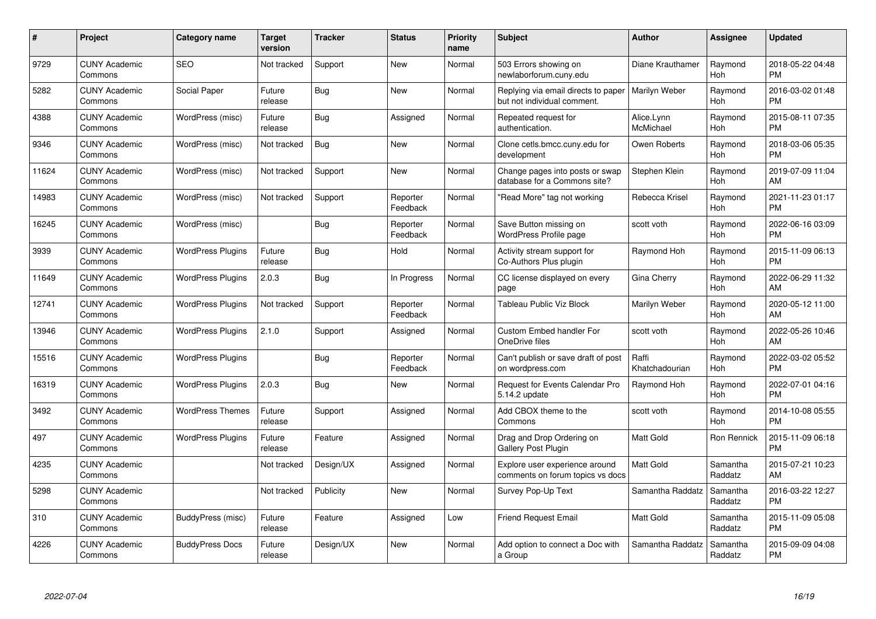| #     | <b>Project</b>                  | Category name            | <b>Target</b><br>version | <b>Tracker</b> | <b>Status</b>        | <b>Priority</b><br>name | <b>Subject</b>                                                     | <b>Author</b>           | Assignee            | <b>Updated</b>                |
|-------|---------------------------------|--------------------------|--------------------------|----------------|----------------------|-------------------------|--------------------------------------------------------------------|-------------------------|---------------------|-------------------------------|
| 9729  | <b>CUNY Academic</b><br>Commons | <b>SEO</b>               | Not tracked              | Support        | <b>New</b>           | Normal                  | 503 Errors showing on<br>newlaborforum.cuny.edu                    | Diane Krauthamer        | Raymond<br>Hoh      | 2018-05-22 04:48<br><b>PM</b> |
| 5282  | <b>CUNY Academic</b><br>Commons | Social Paper             | Future<br>release        | Bug            | <b>New</b>           | Normal                  | Replying via email directs to paper<br>but not individual comment. | Marilyn Weber           | Raymond<br>Hoh      | 2016-03-02 01:48<br><b>PM</b> |
| 4388  | <b>CUNY Academic</b><br>Commons | WordPress (misc)         | Future<br>release        | Bug            | Assigned             | Normal                  | Repeated request for<br>authentication.                            | Alice.Lynn<br>McMichael | Raymond<br>Hoh      | 2015-08-11 07:35<br><b>PM</b> |
| 9346  | <b>CUNY Academic</b><br>Commons | WordPress (misc)         | Not tracked              | Bug            | <b>New</b>           | Normal                  | Clone cetls.bmcc.cuny.edu for<br>development                       | Owen Roberts            | Raymond<br>Hoh      | 2018-03-06 05:35<br><b>PM</b> |
| 11624 | <b>CUNY Academic</b><br>Commons | WordPress (misc)         | Not tracked              | Support        | <b>New</b>           | Normal                  | Change pages into posts or swap<br>database for a Commons site?    | Stephen Klein           | Raymond<br>Hoh      | 2019-07-09 11:04<br>AM        |
| 14983 | <b>CUNY Academic</b><br>Commons | WordPress (misc)         | Not tracked              | Support        | Reporter<br>Feedback | Normal                  | "Read More" tag not working                                        | Rebecca Krisel          | Raymond<br>Hoh      | 2021-11-23 01:17<br><b>PM</b> |
| 16245 | <b>CUNY Academic</b><br>Commons | WordPress (misc)         |                          | Bug            | Reporter<br>Feedback | Normal                  | Save Button missing on<br>WordPress Profile page                   | scott voth              | Raymond<br>Hoh      | 2022-06-16 03:09<br><b>PM</b> |
| 3939  | <b>CUNY Academic</b><br>Commons | <b>WordPress Plugins</b> | Future<br>release        | Bug            | Hold                 | Normal                  | Activity stream support for<br>Co-Authors Plus plugin              | Raymond Hoh             | Raymond<br>Hoh      | 2015-11-09 06:13<br><b>PM</b> |
| 11649 | <b>CUNY Academic</b><br>Commons | <b>WordPress Plugins</b> | 2.0.3                    | <b>Bug</b>     | In Progress          | Normal                  | CC license displayed on every<br>page                              | Gina Cherry             | Raymond<br>Hoh      | 2022-06-29 11:32<br>AM        |
| 12741 | <b>CUNY Academic</b><br>Commons | <b>WordPress Plugins</b> | Not tracked              | Support        | Reporter<br>Feedback | Normal                  | Tableau Public Viz Block                                           | Marilyn Weber           | Raymond<br>Hoh      | 2020-05-12 11:00<br>AM        |
| 13946 | <b>CUNY Academic</b><br>Commons | <b>WordPress Plugins</b> | 2.1.0                    | Support        | Assigned             | Normal                  | <b>Custom Embed handler For</b><br>OneDrive files                  | scott voth              | Raymond<br>Hoh      | 2022-05-26 10:46<br>AM        |
| 15516 | <b>CUNY Academic</b><br>Commons | <b>WordPress Plugins</b> |                          | Bug            | Reporter<br>Feedback | Normal                  | Can't publish or save draft of post<br>on wordpress.com            | Raffi<br>Khatchadourian | Raymond<br>Hoh      | 2022-03-02 05:52<br><b>PM</b> |
| 16319 | <b>CUNY Academic</b><br>Commons | <b>WordPress Plugins</b> | 2.0.3                    | Bug            | <b>New</b>           | Normal                  | Request for Events Calendar Pro<br>5.14.2 update                   | Raymond Hoh             | Raymond<br>Hoh      | 2022-07-01 04:16<br><b>PM</b> |
| 3492  | <b>CUNY Academic</b><br>Commons | <b>WordPress Themes</b>  | Future<br>release        | Support        | Assigned             | Normal                  | Add CBOX theme to the<br>Commons                                   | scott voth              | Raymond<br>Hoh      | 2014-10-08 05:55<br><b>PM</b> |
| 497   | <b>CUNY Academic</b><br>Commons | <b>WordPress Plugins</b> | Future<br>release        | Feature        | Assigned             | Normal                  | Drag and Drop Ordering on<br><b>Gallery Post Plugin</b>            | <b>Matt Gold</b>        | Ron Rennick         | 2015-11-09 06:18<br><b>PM</b> |
| 4235  | <b>CUNY Academic</b><br>Commons |                          | Not tracked              | Design/UX      | Assigned             | Normal                  | Explore user experience around<br>comments on forum topics vs docs | <b>Matt Gold</b>        | Samantha<br>Raddatz | 2015-07-21 10:23<br>AM        |
| 5298  | <b>CUNY Academic</b><br>Commons |                          | Not tracked              | Publicity      | <b>New</b>           | Normal                  | Survey Pop-Up Text                                                 | Samantha Raddatz        | Samantha<br>Raddatz | 2016-03-22 12:27<br><b>PM</b> |
| 310   | <b>CUNY Academic</b><br>Commons | BuddyPress (misc)        | Future<br>release        | Feature        | Assigned             | Low                     | <b>Friend Request Email</b>                                        | <b>Matt Gold</b>        | Samantha<br>Raddatz | 2015-11-09 05:08<br><b>PM</b> |
| 4226  | <b>CUNY Academic</b><br>Commons | <b>BuddyPress Docs</b>   | Future<br>release        | Design/UX      | <b>New</b>           | Normal                  | Add option to connect a Doc with<br>a Group                        | Samantha Raddatz        | Samantha<br>Raddatz | 2015-09-09 04:08<br><b>PM</b> |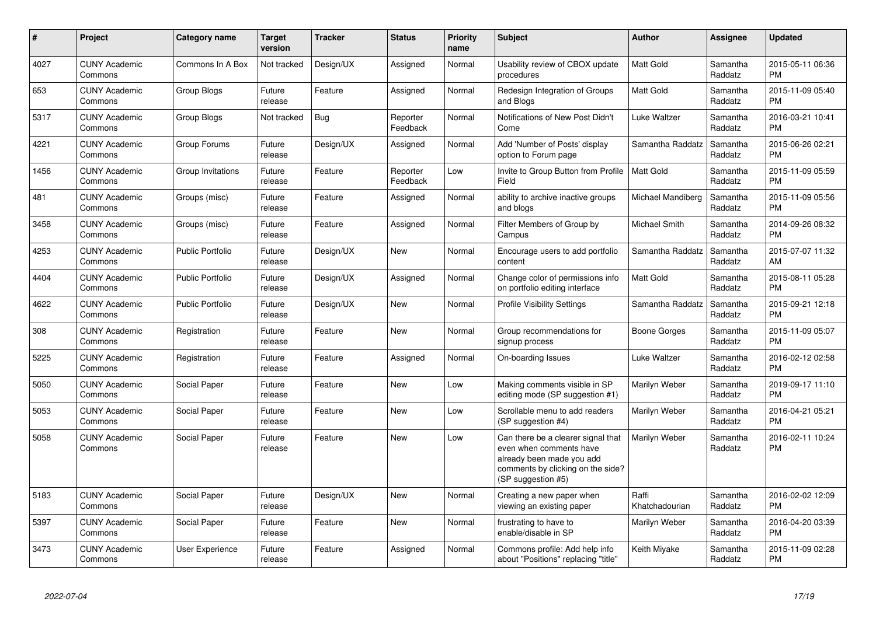| #    | Project                         | <b>Category name</b>    | <b>Target</b><br>version | <b>Tracker</b> | <b>Status</b>        | <b>Priority</b><br>name | <b>Subject</b>                                                                                                                                        | <b>Author</b>           | Assignee            | <b>Updated</b>                |
|------|---------------------------------|-------------------------|--------------------------|----------------|----------------------|-------------------------|-------------------------------------------------------------------------------------------------------------------------------------------------------|-------------------------|---------------------|-------------------------------|
| 4027 | <b>CUNY Academic</b><br>Commons | Commons In A Box        | Not tracked              | Design/UX      | Assigned             | Normal                  | Usability review of CBOX update<br>procedures                                                                                                         | <b>Matt Gold</b>        | Samantha<br>Raddatz | 2015-05-11 06:36<br><b>PM</b> |
| 653  | <b>CUNY Academic</b><br>Commons | <b>Group Blogs</b>      | Future<br>release        | Feature        | Assigned             | Normal                  | Redesign Integration of Groups<br>and Blogs                                                                                                           | <b>Matt Gold</b>        | Samantha<br>Raddatz | 2015-11-09 05:40<br><b>PM</b> |
| 5317 | <b>CUNY Academic</b><br>Commons | Group Blogs             | Not tracked              | Bug            | Reporter<br>Feedback | Normal                  | Notifications of New Post Didn't<br>Come                                                                                                              | Luke Waltzer            | Samantha<br>Raddatz | 2016-03-21 10:41<br><b>PM</b> |
| 4221 | <b>CUNY Academic</b><br>Commons | Group Forums            | Future<br>release        | Design/UX      | Assigned             | Normal                  | Add 'Number of Posts' display<br>option to Forum page                                                                                                 | Samantha Raddatz        | Samantha<br>Raddatz | 2015-06-26 02:21<br><b>PM</b> |
| 1456 | <b>CUNY Academic</b><br>Commons | Group Invitations       | Future<br>release        | Feature        | Reporter<br>Feedback | Low                     | Invite to Group Button from Profile<br>Field                                                                                                          | <b>Matt Gold</b>        | Samantha<br>Raddatz | 2015-11-09 05:59<br><b>PM</b> |
| 481  | <b>CUNY Academic</b><br>Commons | Groups (misc)           | Future<br>release        | Feature        | Assigned             | Normal                  | ability to archive inactive groups<br>and blogs                                                                                                       | Michael Mandiberg       | Samantha<br>Raddatz | 2015-11-09 05:56<br><b>PM</b> |
| 3458 | <b>CUNY Academic</b><br>Commons | Groups (misc)           | Future<br>release        | Feature        | Assigned             | Normal                  | Filter Members of Group by<br>Campus                                                                                                                  | Michael Smith           | Samantha<br>Raddatz | 2014-09-26 08:32<br><b>PM</b> |
| 4253 | <b>CUNY Academic</b><br>Commons | <b>Public Portfolio</b> | Future<br>release        | Design/UX      | <b>New</b>           | Normal                  | Encourage users to add portfolio<br>content                                                                                                           | Samantha Raddatz        | Samantha<br>Raddatz | 2015-07-07 11:32<br>AM        |
| 4404 | <b>CUNY Academic</b><br>Commons | <b>Public Portfolio</b> | Future<br>release        | Design/UX      | Assigned             | Normal                  | Change color of permissions info<br>on portfolio editing interface                                                                                    | <b>Matt Gold</b>        | Samantha<br>Raddatz | 2015-08-11 05:28<br><b>PM</b> |
| 4622 | <b>CUNY Academic</b><br>Commons | <b>Public Portfolio</b> | Future<br>release        | Design/UX      | <b>New</b>           | Normal                  | <b>Profile Visibility Settings</b>                                                                                                                    | Samantha Raddatz        | Samantha<br>Raddatz | 2015-09-21 12:18<br><b>PM</b> |
| 308  | <b>CUNY Academic</b><br>Commons | Registration            | Future<br>release        | Feature        | New                  | Normal                  | Group recommendations for<br>signup process                                                                                                           | Boone Gorges            | Samantha<br>Raddatz | 2015-11-09 05:07<br><b>PM</b> |
| 5225 | <b>CUNY Academic</b><br>Commons | Registration            | Future<br>release        | Feature        | Assigned             | Normal                  | On-boarding Issues                                                                                                                                    | Luke Waltzer            | Samantha<br>Raddatz | 2016-02-12 02:58<br><b>PM</b> |
| 5050 | <b>CUNY Academic</b><br>Commons | Social Paper            | Future<br>release        | Feature        | New                  | Low                     | Making comments visible in SP<br>editing mode (SP suggestion #1)                                                                                      | Marilyn Weber           | Samantha<br>Raddatz | 2019-09-17 11:10<br><b>PM</b> |
| 5053 | <b>CUNY Academic</b><br>Commons | Social Paper            | Future<br>release        | Feature        | <b>New</b>           | Low                     | Scrollable menu to add readers<br>(SP suggestion #4)                                                                                                  | Marilyn Weber           | Samantha<br>Raddatz | 2016-04-21 05:21<br><b>PM</b> |
| 5058 | <b>CUNY Academic</b><br>Commons | Social Paper            | Future<br>release        | Feature        | <b>New</b>           | Low                     | Can there be a clearer signal that<br>even when comments have<br>already been made you add<br>comments by clicking on the side?<br>(SP suggestion #5) | Marilyn Weber           | Samantha<br>Raddatz | 2016-02-11 10:24<br><b>PM</b> |
| 5183 | <b>CUNY Academic</b><br>Commons | Social Paper            | Future<br>release        | Design/UX      | New                  | Normal                  | Creating a new paper when<br>viewing an existing paper                                                                                                | Raffi<br>Khatchadourian | Samantha<br>Raddatz | 2016-02-02 12:09<br><b>PM</b> |
| 5397 | <b>CUNY Academic</b><br>Commons | Social Paper            | Future<br>release        | Feature        | <b>New</b>           | Normal                  | frustrating to have to<br>enable/disable in SP                                                                                                        | Marilyn Weber           | Samantha<br>Raddatz | 2016-04-20 03:39<br><b>PM</b> |
| 3473 | <b>CUNY Academic</b><br>Commons | User Experience         | Future<br>release        | Feature        | Assigned             | Normal                  | Commons profile: Add help info<br>about "Positions" replacing "title"                                                                                 | Keith Miyake            | Samantha<br>Raddatz | 2015-11-09 02:28<br><b>PM</b> |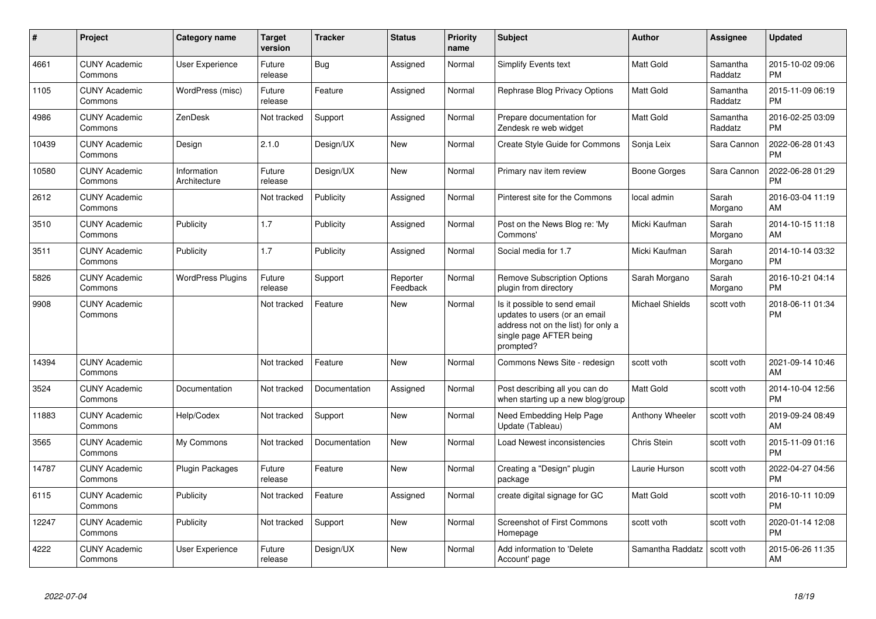| $\pmb{\#}$ | Project                         | <b>Category name</b>        | <b>Target</b><br>version | <b>Tracker</b> | <b>Status</b>        | <b>Priority</b><br>name | <b>Subject</b>                                                                                                                               | <b>Author</b>    | Assignee            | <b>Updated</b>                |
|------------|---------------------------------|-----------------------------|--------------------------|----------------|----------------------|-------------------------|----------------------------------------------------------------------------------------------------------------------------------------------|------------------|---------------------|-------------------------------|
| 4661       | <b>CUNY Academic</b><br>Commons | User Experience             | Future<br>release        | Bug            | Assigned             | Normal                  | Simplify Events text                                                                                                                         | <b>Matt Gold</b> | Samantha<br>Raddatz | 2015-10-02 09:06<br><b>PM</b> |
| 1105       | <b>CUNY Academic</b><br>Commons | WordPress (misc)            | Future<br>release        | Feature        | Assigned             | Normal                  | <b>Rephrase Blog Privacy Options</b>                                                                                                         | <b>Matt Gold</b> | Samantha<br>Raddatz | 2015-11-09 06:19<br><b>PM</b> |
| 4986       | <b>CUNY Academic</b><br>Commons | ZenDesk                     | Not tracked              | Support        | Assigned             | Normal                  | Prepare documentation for<br>Zendesk re web widget                                                                                           | <b>Matt Gold</b> | Samantha<br>Raddatz | 2016-02-25 03:09<br><b>PM</b> |
| 10439      | <b>CUNY Academic</b><br>Commons | Design                      | 2.1.0                    | Design/UX      | New                  | Normal                  | Create Style Guide for Commons                                                                                                               | Sonja Leix       | Sara Cannon         | 2022-06-28 01:43<br><b>PM</b> |
| 10580      | <b>CUNY Academic</b><br>Commons | Information<br>Architecture | Future<br>release        | Design/UX      | New                  | Normal                  | Primary nav item review                                                                                                                      | Boone Gorges     | Sara Cannon         | 2022-06-28 01:29<br><b>PM</b> |
| 2612       | <b>CUNY Academic</b><br>Commons |                             | Not tracked              | Publicity      | Assigned             | Normal                  | Pinterest site for the Commons                                                                                                               | local admin      | Sarah<br>Morgano    | 2016-03-04 11:19<br>AM        |
| 3510       | <b>CUNY Academic</b><br>Commons | Publicity                   | 1.7                      | Publicity      | Assigned             | Normal                  | Post on the News Blog re: 'My<br>Commons'                                                                                                    | Micki Kaufman    | Sarah<br>Morgano    | 2014-10-15 11:18<br>AM        |
| 3511       | <b>CUNY Academic</b><br>Commons | Publicity                   | 1.7                      | Publicity      | Assigned             | Normal                  | Social media for 1.7                                                                                                                         | Micki Kaufman    | Sarah<br>Morgano    | 2014-10-14 03:32<br><b>PM</b> |
| 5826       | <b>CUNY Academic</b><br>Commons | <b>WordPress Plugins</b>    | Future<br>release        | Support        | Reporter<br>Feedback | Normal                  | <b>Remove Subscription Options</b><br>plugin from directory                                                                                  | Sarah Morgano    | Sarah<br>Morgano    | 2016-10-21 04:14<br><b>PM</b> |
| 9908       | <b>CUNY Academic</b><br>Commons |                             | Not tracked              | Feature        | <b>New</b>           | Normal                  | Is it possible to send email<br>updates to users (or an email<br>address not on the list) for only a<br>single page AFTER being<br>prompted? | Michael Shields  | scott voth          | 2018-06-11 01:34<br><b>PM</b> |
| 14394      | <b>CUNY Academic</b><br>Commons |                             | Not tracked              | Feature        | <b>New</b>           | Normal                  | Commons News Site - redesign                                                                                                                 | scott voth       | scott voth          | 2021-09-14 10:46<br>AM        |
| 3524       | <b>CUNY Academic</b><br>Commons | Documentation               | Not tracked              | Documentation  | Assigned             | Normal                  | Post describing all you can do<br>when starting up a new blog/group                                                                          | Matt Gold        | scott voth          | 2014-10-04 12:56<br>PM        |
| 11883      | <b>CUNY Academic</b><br>Commons | Help/Codex                  | Not tracked              | Support        | New                  | Normal                  | Need Embedding Help Page<br>Update (Tableau)                                                                                                 | Anthony Wheeler  | scott voth          | 2019-09-24 08:49<br>AM        |
| 3565       | <b>CUNY Academic</b><br>Commons | My Commons                  | Not tracked              | Documentation  | New                  | Normal                  | Load Newest inconsistencies                                                                                                                  | Chris Stein      | scott voth          | 2015-11-09 01:16<br><b>PM</b> |
| 14787      | <b>CUNY Academic</b><br>Commons | <b>Plugin Packages</b>      | Future<br>release        | Feature        | <b>New</b>           | Normal                  | Creating a "Design" plugin<br>package                                                                                                        | Laurie Hurson    | scott voth          | 2022-04-27 04:56<br><b>PM</b> |
| 6115       | <b>CUNY Academic</b><br>Commons | Publicity                   | Not tracked              | Feature        | Assigned             | Normal                  | create digital signage for GC                                                                                                                | Matt Gold        | scott voth          | 2016-10-11 10:09<br><b>PM</b> |
| 12247      | <b>CUNY Academic</b><br>Commons | Publicity                   | Not tracked              | Support        | <b>New</b>           | Normal                  | <b>Screenshot of First Commons</b><br>Homepage                                                                                               | scott voth       | scott voth          | 2020-01-14 12:08<br><b>PM</b> |
| 4222       | <b>CUNY Academic</b><br>Commons | User Experience             | Future<br>release        | Design/UX      | <b>New</b>           | Normal                  | Add information to 'Delete<br>Account' page                                                                                                  | Samantha Raddatz | scott voth          | 2015-06-26 11:35<br>AM        |